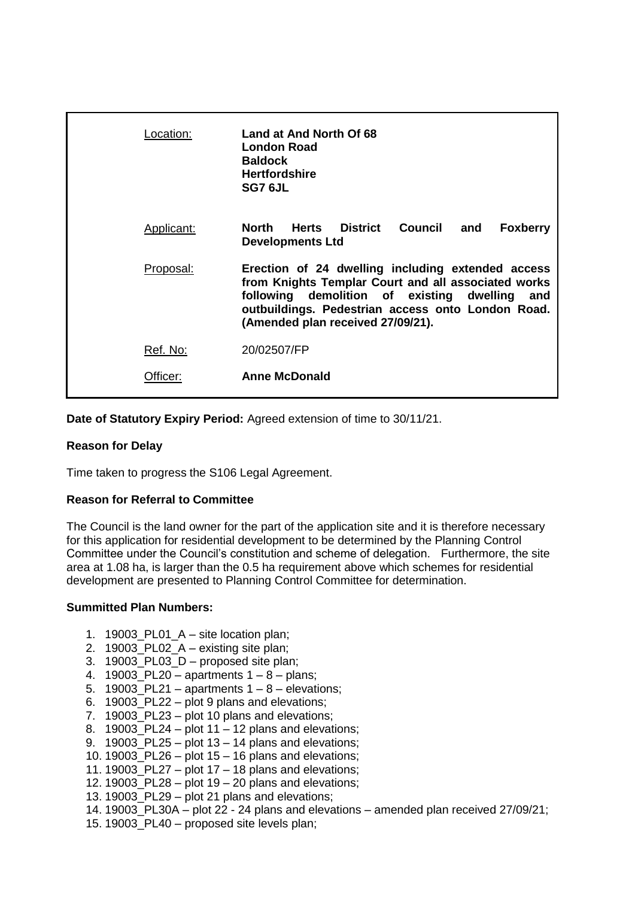| Location:  | Land at And North Of 68<br>London Road<br><b>Baldock</b><br><b>Hertfordshire</b><br>SG7 6JL                                                                                                                                                         |
|------------|-----------------------------------------------------------------------------------------------------------------------------------------------------------------------------------------------------------------------------------------------------|
| Applicant: | North<br><b>Herts District</b><br>Council<br><b>Foxberry</b><br>and<br><b>Developments Ltd</b>                                                                                                                                                      |
| Proposal:  | Erection of 24 dwelling including extended access<br>from Knights Templar Court and all associated works<br>following demolition of existing dwelling and<br>outbuildings. Pedestrian access onto London Road.<br>(Amended plan received 27/09/21). |
| Ref. No:   | 20/02507/FP                                                                                                                                                                                                                                         |
| Officer:   | <b>Anne McDonald</b>                                                                                                                                                                                                                                |

**Date of Statutory Expiry Period:** Agreed extension of time to 30/11/21.

## **Reason for Delay**

Time taken to progress the S106 Legal Agreement.

## **Reason for Referral to Committee**

The Council is the land owner for the part of the application site and it is therefore necessary for this application for residential development to be determined by the Planning Control Committee under the Council's constitution and scheme of delegation. Furthermore, the site area at 1.08 ha, is larger than the 0.5 ha requirement above which schemes for residential development are presented to Planning Control Committee for determination.

## **Summitted Plan Numbers:**

- 1. 19003\_PL01\_A site location plan;
- 2. 19003 PL02  $A$  existing site plan;
- 3. 19003 PL03  $D$  proposed site plan:
- 4. 19003 PL20 apartments  $1 8$  plans;
- 5. 19003\_PL21 apartments  $1 8$  elevations;
- 6. 19003\_PL22 plot 9 plans and elevations;
- 7. 19003\_PL23 plot 10 plans and elevations;
- 8. 19003\_PL24 plot 11 12 plans and elevations;
- 9. 19003\_PL25 plot 13 14 plans and elevations;
- 10. 19003 PL26 plot  $15 16$  plans and elevations;
- 11. 19003\_PL27 plot 17 18 plans and elevations;
- 12. 19003\_PL28 plot 19 20 plans and elevations;
- 13. 19003 PL29 plot 21 plans and elevations;
- 14. 19003\_PL30A plot 22 24 plans and elevations amended plan received 27/09/21;
- 15. 19003\_PL40 proposed site levels plan;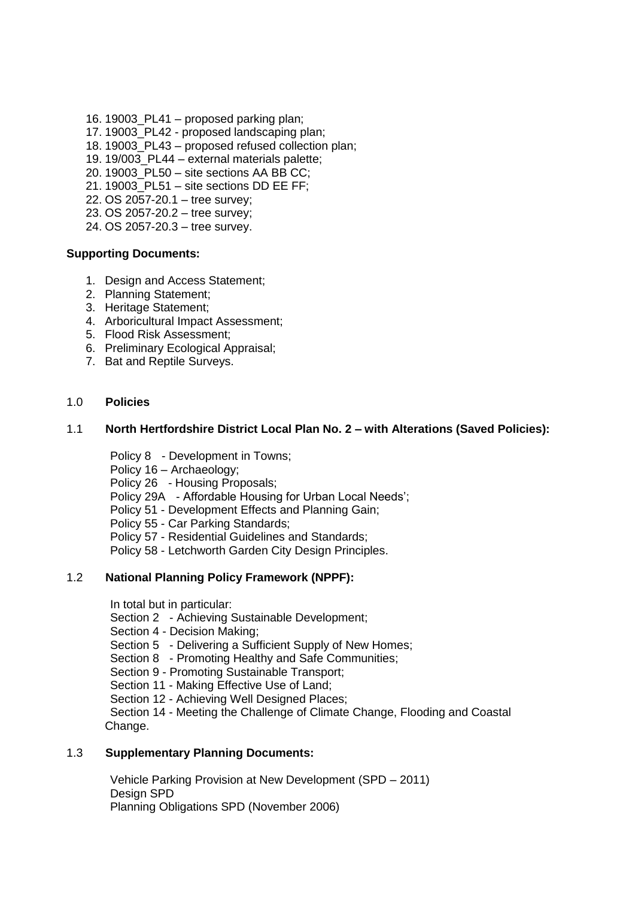- 16. 19003\_PL41 proposed parking plan;
- 17. 19003\_PL42 proposed landscaping plan;
- 18. 19003 PL43 proposed refused collection plan;
- 19. 19/003\_PL44 external materials palette;
- 20. 19003\_PL50 site sections AA BB CC;
- 21. 19003\_PL51 site sections DD EE FF;
- 22. OS 2057-20.1 tree survey;
- 23. OS 2057-20.2 tree survey;
- 24. OS 2057-20.3 tree survey.

### **Supporting Documents:**

- 1. Design and Access Statement;
- 2. Planning Statement;
- 3. Heritage Statement;
- 4. Arboricultural Impact Assessment;
- 5. Flood Risk Assessment;
- 6. Preliminary Ecological Appraisal;
- 7. Bat and Reptile Surveys.

## 1.0 **Policies**

### 1.1 **North Hertfordshire District Local Plan No. 2 – with Alterations (Saved Policies):**

Policy 8 - Development in Towns;

Policy 16 – Archaeology;

Policy 26 - Housing Proposals;

Policy 29A - Affordable Housing for Urban Local Needs';

Policy 51 - Development Effects and Planning Gain;

Policy 55 - Car Parking Standards;

Policy 57 - Residential Guidelines and Standards;

Policy 58 - Letchworth Garden City Design Principles.

## 1.2 **National Planning Policy Framework (NPPF):**

In total but in particular:

Section 2 - Achieving Sustainable Development;

Section 4 - Decision Making;

Section 5 - Delivering a Sufficient Supply of New Homes;

Section 8 - Promoting Healthy and Safe Communities;

Section 9 - Promoting Sustainable Transport;

Section 11 - Making Effective Use of Land;

Section 12 - Achieving Well Designed Places;

Section 14 - Meeting the Challenge of Climate Change, Flooding and Coastal Change.

## 1.3 **Supplementary Planning Documents:**

Vehicle Parking Provision at New Development (SPD – 2011) Design SPD Planning Obligations SPD (November 2006)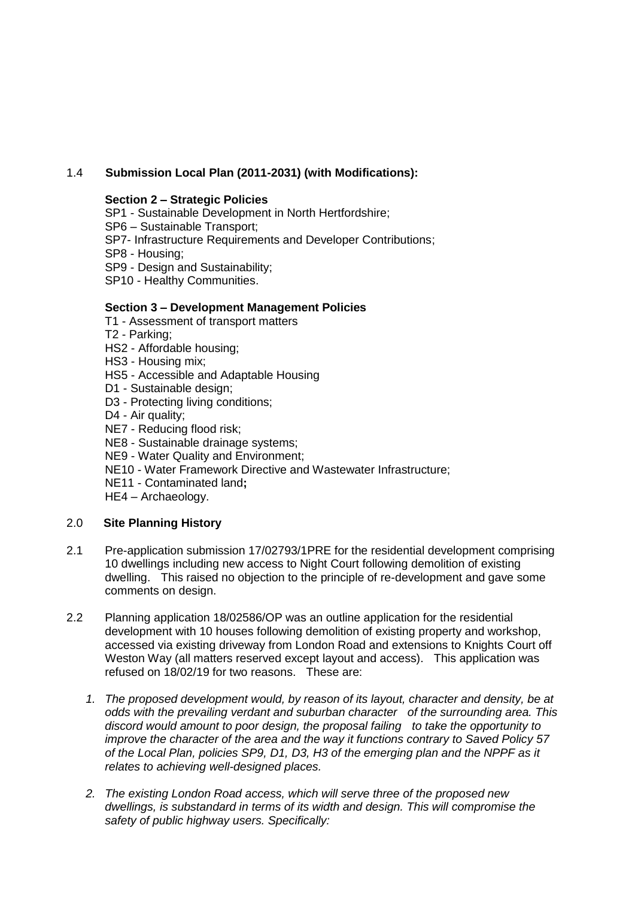# 1.4 **Submission Local Plan (2011-2031) (with Modifications):**

## **Section 2 – Strategic Policies**

SP1 - Sustainable Development in North Hertfordshire; SP6 – Sustainable Transport; SP7- Infrastructure Requirements and Developer Contributions; SP8 - Housing; SP9 - Design and Sustainability; SP10 - Healthy Communities.

## **Section 3 – Development Management Policies**

- T1 Assessment of transport matters
- T2 Parking;
- HS2 Affordable housing;
- HS3 Housing mix;
- HS5 Accessible and Adaptable Housing
- D1 Sustainable design;
- D3 Protecting living conditions;
- D4 Air quality:
- NE7 Reducing flood risk;
- NE8 Sustainable drainage systems;
- NE9 Water Quality and Environment;
- NE10 Water Framework Directive and Wastewater Infrastructure;
- NE11 Contaminated land**;**
- HE4 Archaeology.

## 2.0 **Site Planning History**

- 2.1 Pre-application submission 17/02793/1PRE for the residential development comprising 10 dwellings including new access to Night Court following demolition of existing dwelling. This raised no objection to the principle of re-development and gave some comments on design.
- 2.2 Planning application 18/02586/OP was an outline application for the residential development with 10 houses following demolition of existing property and workshop, accessed via existing driveway from London Road and extensions to Knights Court off Weston Way (all matters reserved except layout and access). This application was refused on 18/02/19 for two reasons. These are:
	- *1. The proposed development would, by reason of its layout, character and density, be at odds with the prevailing verdant and suburban character of the surrounding area. This discord would amount to poor design, the proposal failing to take the opportunity to improve the character of the area and the way it functions contrary to Saved Policy 57 of the Local Plan, policies SP9, D1, D3, H3 of the emerging plan and the NPPF as it relates to achieving well-designed places.*
	- *2. The existing London Road access, which will serve three of the proposed new dwellings, is substandard in terms of its width and design. This will compromise the safety of public highway users. Specifically:*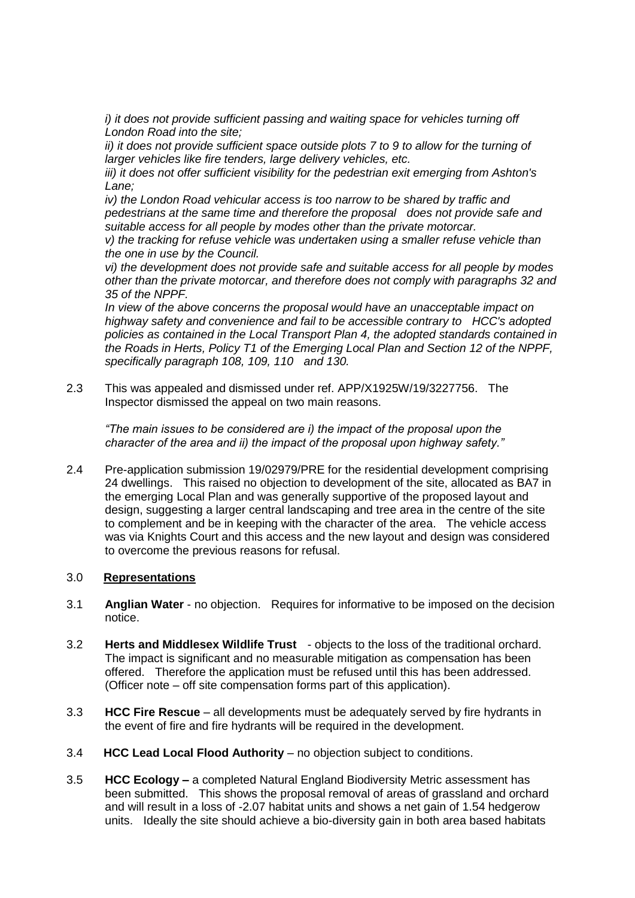*i)* it does not provide sufficient passing and waiting space for vehicles turning off *London Road into the site;* 

*ii) it does not provide sufficient space outside plots 7 to 9 to allow for the turning of*  larger vehicles like fire tenders, large delivery vehicles, etc.

*iii) it does not offer sufficient visibility for the pedestrian exit emerging from Ashton's Lane;* 

*iv*) the London Road vehicular access is too narrow to be shared by traffic and *pedestrians at the same time and therefore the proposal does not provide safe and suitable access for all people by modes other than the private motorcar.*

*v) the tracking for refuse vehicle was undertaken using a smaller refuse vehicle than the one in use by the Council.*

*vi) the development does not provide safe and suitable access for all people by modes other than the private motorcar, and therefore does not comply with paragraphs 32 and 35 of the NPPF.* 

*In view of the above concerns the proposal would have an unacceptable impact on highway safety and convenience and fail to be accessible contrary to HCC's adopted policies as contained in the Local Transport Plan 4, the adopted standards contained in the Roads in Herts, Policy T1 of the Emerging Local Plan and Section 12 of the NPPF, specifically paragraph 108, 109, 110 and 130.*

2.3 This was appealed and dismissed under ref. APP/X1925W/19/3227756. The Inspector dismissed the appeal on two main reasons.

*"The main issues to be considered are i) the impact of the proposal upon the character of the area and ii) the impact of the proposal upon highway safety."*

2.4 Pre-application submission 19/02979/PRE for the residential development comprising 24 dwellings. This raised no objection to development of the site, allocated as BA7 in the emerging Local Plan and was generally supportive of the proposed layout and design, suggesting a larger central landscaping and tree area in the centre of the site to complement and be in keeping with the character of the area. The vehicle access was via Knights Court and this access and the new layout and design was considered to overcome the previous reasons for refusal.

## 3.0 **Representations**

- 3.1 **Anglian Water** no objection. Requires for informative to be imposed on the decision notice.
- 3.2 **Herts and Middlesex Wildlife Trust**  objects to the loss of the traditional orchard. The impact is significant and no measurable mitigation as compensation has been offered. Therefore the application must be refused until this has been addressed. (Officer note – off site compensation forms part of this application).
- 3.3 **HCC Fire Rescue** all developments must be adequately served by fire hydrants in the event of fire and fire hydrants will be required in the development.
- 3.4 **HCC Lead Local Flood Authority** no objection subject to conditions.
- 3.5 **HCC Ecology –** a completed Natural England Biodiversity Metric assessment has been submitted. This shows the proposal removal of areas of grassland and orchard and will result in a loss of -2.07 habitat units and shows a net gain of 1.54 hedgerow units. Ideally the site should achieve a bio-diversity gain in both area based habitats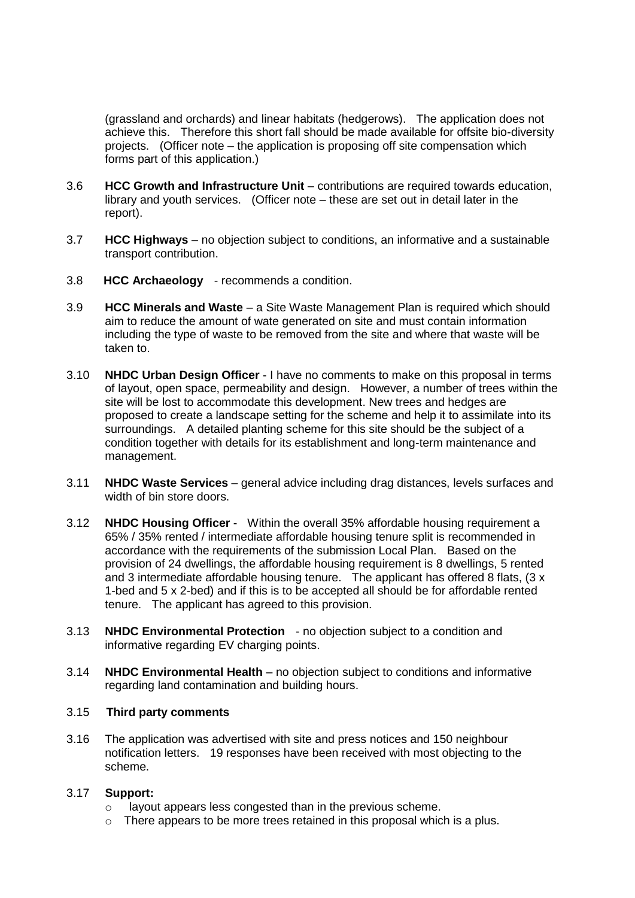(grassland and orchards) and linear habitats (hedgerows). The application does not achieve this. Therefore this short fall should be made available for offsite bio-diversity projects. (Officer note – the application is proposing off site compensation which forms part of this application.)

- 3.6 **HCC Growth and Infrastructure Unit** contributions are required towards education, library and youth services. (Officer note – these are set out in detail later in the report).
- 3.7 **HCC Highways** no objection subject to conditions, an informative and a sustainable transport contribution.
- 3.8 **HCC Archaeology**  recommends a condition.
- 3.9 **HCC Minerals and Waste** a Site Waste Management Plan is required which should aim to reduce the amount of wate generated on site and must contain information including the type of waste to be removed from the site and where that waste will be taken to.
- 3.10 **NHDC Urban Design Officer** I have no comments to make on this proposal in terms of layout, open space, permeability and design. However, a number of trees within the site will be lost to accommodate this development. New trees and hedges are proposed to create a landscape setting for the scheme and help it to assimilate into its surroundings. A detailed planting scheme for this site should be the subject of a condition together with details for its establishment and long-term maintenance and management.
- 3.11 **NHDC Waste Services** general advice including drag distances, levels surfaces and width of bin store doors.
- 3.12 **NHDC Housing Officer** Within the overall 35% affordable housing requirement a 65% / 35% rented / intermediate affordable housing tenure split is recommended in accordance with the requirements of the submission Local Plan. Based on the provision of 24 dwellings, the affordable housing requirement is 8 dwellings, 5 rented and 3 intermediate affordable housing tenure. The applicant has offered 8 flats, (3 x 1-bed and 5 x 2-bed) and if this is to be accepted all should be for affordable rented tenure. The applicant has agreed to this provision.
- 3.13 **NHDC Environmental Protection**  no objection subject to a condition and informative regarding EV charging points.
- 3.14 **NHDC Environmental Health** no objection subject to conditions and informative regarding land contamination and building hours.

## 3.15 **Third party comments**

3.16 The application was advertised with site and press notices and 150 neighbour notification letters. 19 responses have been received with most objecting to the scheme.

## 3.17 **Support:**

- o layout appears less congested than in the previous scheme.
- $\circ$  There appears to be more trees retained in this proposal which is a plus.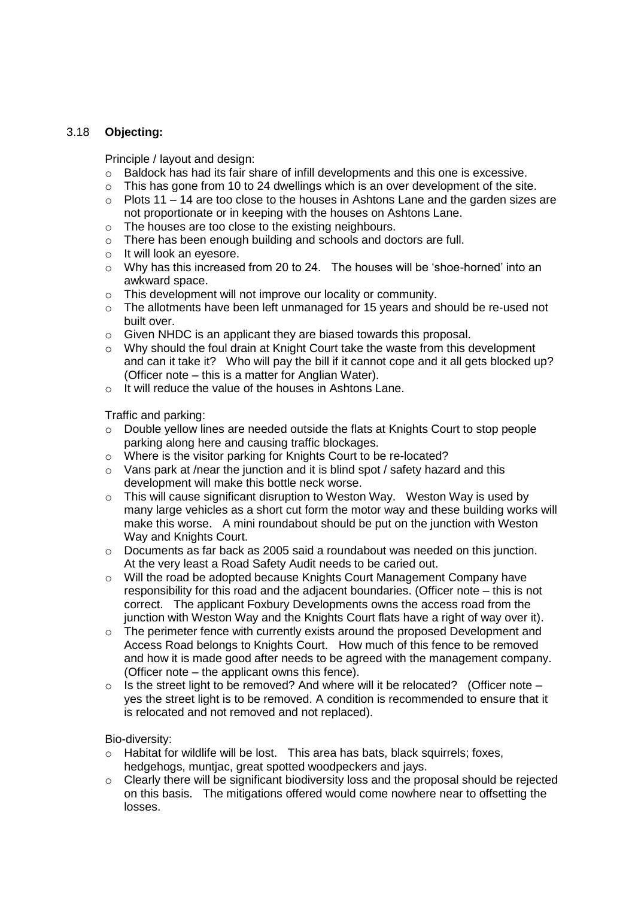## 3.18 **Objecting:**

Principle / layout and design:

- $\circ$  Baldock has had its fair share of infill developments and this one is excessive.
- $\circ$  This has gone from 10 to 24 dwellings which is an over development of the site.
- $\circ$  Plots 11 14 are too close to the houses in Ashtons Lane and the garden sizes are not proportionate or in keeping with the houses on Ashtons Lane.
- o The houses are too close to the existing neighbours.
- o There has been enough building and schools and doctors are full.
- o It will look an eyesore.
- o Why has this increased from 20 to 24. The houses will be 'shoe-horned' into an awkward space.
- o This development will not improve our locality or community.
- $\circ$  The allotments have been left unmanaged for 15 years and should be re-used not built over.
- o Given NHDC is an applicant they are biased towards this proposal.
- o Why should the foul drain at Knight Court take the waste from this development and can it take it? Who will pay the bill if it cannot cope and it all gets blocked up? (Officer note – this is a matter for Anglian Water).
- o It will reduce the value of the houses in Ashtons Lane.

Traffic and parking:

- o Double yellow lines are needed outside the flats at Knights Court to stop people parking along here and causing traffic blockages.
- o Where is the visitor parking for Knights Court to be re-located?
- o Vans park at /near the junction and it is blind spot / safety hazard and this development will make this bottle neck worse.
- o This will cause significant disruption to Weston Way. Weston Way is used by many large vehicles as a short cut form the motor way and these building works will make this worse. A mini roundabout should be put on the junction with Weston Way and Knights Court.
- $\circ$  Documents as far back as 2005 said a roundabout was needed on this junction. At the very least a Road Safety Audit needs to be caried out.
- o Will the road be adopted because Knights Court Management Company have responsibility for this road and the adjacent boundaries. (Officer note – this is not correct. The applicant Foxbury Developments owns the access road from the junction with Weston Way and the Knights Court flats have a right of way over it).
- $\circ$  The perimeter fence with currently exists around the proposed Development and Access Road belongs to Knights Court. How much of this fence to be removed and how it is made good after needs to be agreed with the management company. (Officer note – the applicant owns this fence).
- $\circ$  Is the street light to be removed? And where will it be relocated? (Officer note yes the street light is to be removed. A condition is recommended to ensure that it is relocated and not removed and not replaced).

Bio-diversity:

- o Habitat for wildlife will be lost. This area has bats, black squirrels; foxes, hedgehogs, muntjac, great spotted woodpeckers and jays.
- o Clearly there will be significant biodiversity loss and the proposal should be rejected on this basis. The mitigations offered would come nowhere near to offsetting the losses.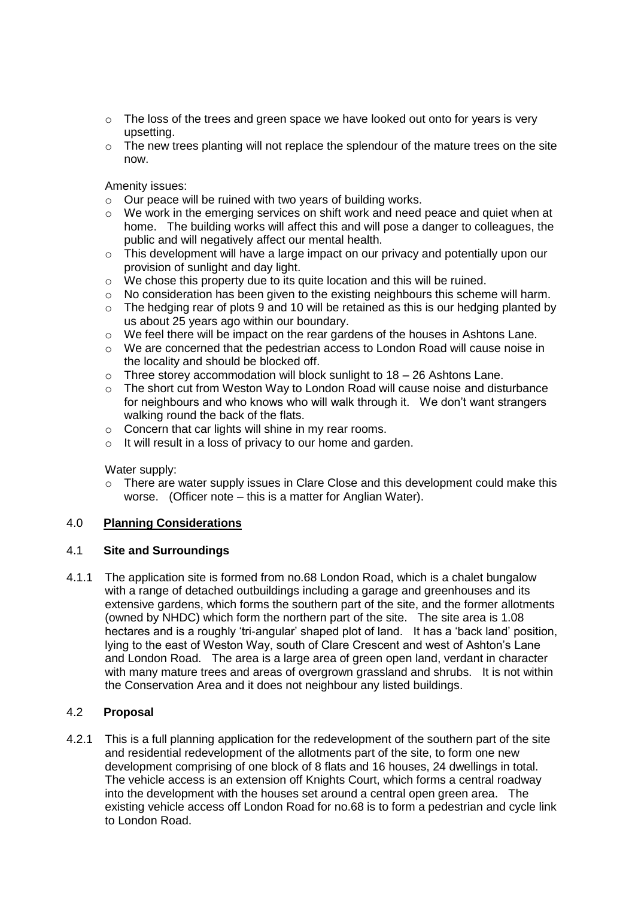- $\circ$  The loss of the trees and green space we have looked out onto for years is very upsetting.
- $\circ$  The new trees planting will not replace the splendour of the mature trees on the site now.

Amenity issues:

- o Our peace will be ruined with two years of building works.
- o We work in the emerging services on shift work and need peace and quiet when at home. The building works will affect this and will pose a danger to colleagues, the public and will negatively affect our mental health.
- $\circ$  This development will have a large impact on our privacy and potentially upon our provision of sunlight and day light.
- o We chose this property due to its quite location and this will be ruined.
- o No consideration has been given to the existing neighbours this scheme will harm.
- $\circ$  The hedging rear of plots 9 and 10 will be retained as this is our hedging planted by us about 25 years ago within our boundary.
- $\circ$  We feel there will be impact on the rear gardens of the houses in Ashtons Lane.
- $\circ$  We are concerned that the pedestrian access to London Road will cause noise in the locality and should be blocked off.
- $\circ$  Three storey accommodation will block sunlight to 18 26 Ashtons Lane.
- $\circ$  The short cut from Weston Way to London Road will cause noise and disturbance for neighbours and who knows who will walk through it. We don't want strangers walking round the back of the flats.
- o Concern that car lights will shine in my rear rooms.
- o It will result in a loss of privacy to our home and garden.

#### Water supply:

o There are water supply issues in Clare Close and this development could make this worse. (Officer note – this is a matter for Anglian Water).

## 4.0 **Planning Considerations**

## 4.1 **Site and Surroundings**

4.1.1 The application site is formed from no.68 London Road, which is a chalet bungalow with a range of detached outbuildings including a garage and greenhouses and its extensive gardens, which forms the southern part of the site, and the former allotments (owned by NHDC) which form the northern part of the site. The site area is 1.08 hectares and is a roughly 'tri-angular' shaped plot of land. It has a 'back land' position, lying to the east of Weston Way, south of Clare Crescent and west of Ashton's Lane and London Road. The area is a large area of green open land, verdant in character with many mature trees and areas of overgrown grassland and shrubs. It is not within the Conservation Area and it does not neighbour any listed buildings.

## 4.2 **Proposal**

4.2.1 This is a full planning application for the redevelopment of the southern part of the site and residential redevelopment of the allotments part of the site, to form one new development comprising of one block of 8 flats and 16 houses, 24 dwellings in total. The vehicle access is an extension off Knights Court, which forms a central roadway into the development with the houses set around a central open green area. The existing vehicle access off London Road for no.68 is to form a pedestrian and cycle link to London Road.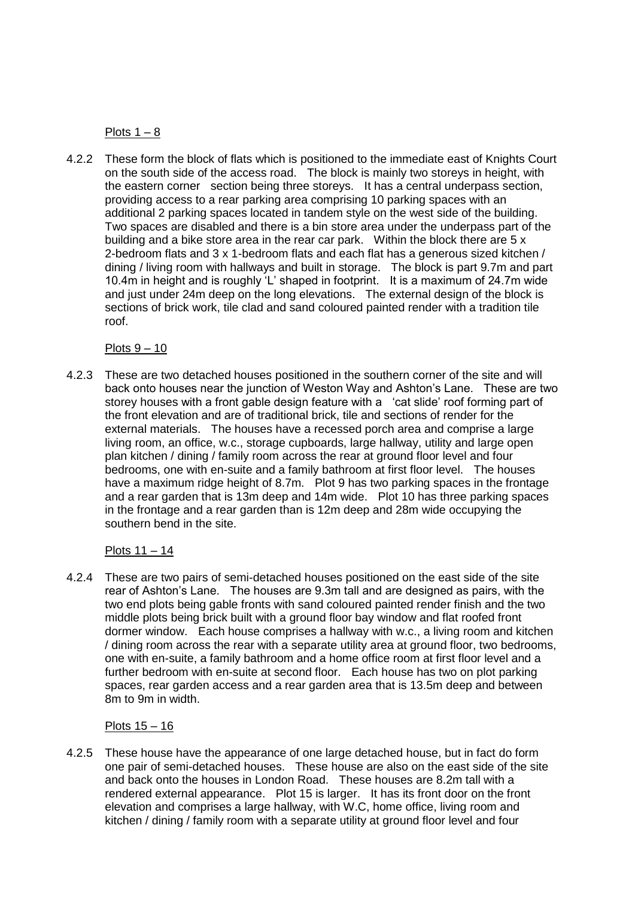Plots  $1 - 8$ 

4.2.2 These form the block of flats which is positioned to the immediate east of Knights Court on the south side of the access road. The block is mainly two storeys in height, with the eastern corner section being three storeys. It has a central underpass section, providing access to a rear parking area comprising 10 parking spaces with an additional 2 parking spaces located in tandem style on the west side of the building. Two spaces are disabled and there is a bin store area under the underpass part of the building and a bike store area in the rear car park. Within the block there are 5 x 2-bedroom flats and 3 x 1-bedroom flats and each flat has a generous sized kitchen / dining / living room with hallways and built in storage. The block is part 9.7m and part 10.4m in height and is roughly 'L' shaped in footprint. It is a maximum of 24.7m wide and just under 24m deep on the long elevations. The external design of the block is sections of brick work, tile clad and sand coloured painted render with a tradition tile roof.

Plots  $9 - 10$ 

4.2.3 These are two detached houses positioned in the southern corner of the site and will back onto houses near the junction of Weston Way and Ashton's Lane. These are two storey houses with a front gable design feature with a 'cat slide' roof forming part of the front elevation and are of traditional brick, tile and sections of render for the external materials. The houses have a recessed porch area and comprise a large living room, an office, w.c., storage cupboards, large hallway, utility and large open plan kitchen / dining / family room across the rear at ground floor level and four bedrooms, one with en-suite and a family bathroom at first floor level. The houses have a maximum ridge height of 8.7m. Plot 9 has two parking spaces in the frontage and a rear garden that is 13m deep and 14m wide. Plot 10 has three parking spaces in the frontage and a rear garden than is 12m deep and 28m wide occupying the southern bend in the site.

## Plots 11 – 14

4.2.4 These are two pairs of semi-detached houses positioned on the east side of the site rear of Ashton's Lane. The houses are 9.3m tall and are designed as pairs, with the two end plots being gable fronts with sand coloured painted render finish and the two middle plots being brick built with a ground floor bay window and flat roofed front dormer window. Each house comprises a hallway with w.c., a living room and kitchen / dining room across the rear with a separate utility area at ground floor, two bedrooms, one with en-suite, a family bathroom and a home office room at first floor level and a further bedroom with en-suite at second floor. Each house has two on plot parking spaces, rear garden access and a rear garden area that is 13.5m deep and between 8m to 9m in width.

## Plots 15 – 16

4.2.5 These house have the appearance of one large detached house, but in fact do form one pair of semi-detached houses. These house are also on the east side of the site and back onto the houses in London Road. These houses are 8.2m tall with a rendered external appearance. Plot 15 is larger. It has its front door on the front elevation and comprises a large hallway, with W.C, home office, living room and kitchen / dining / family room with a separate utility at ground floor level and four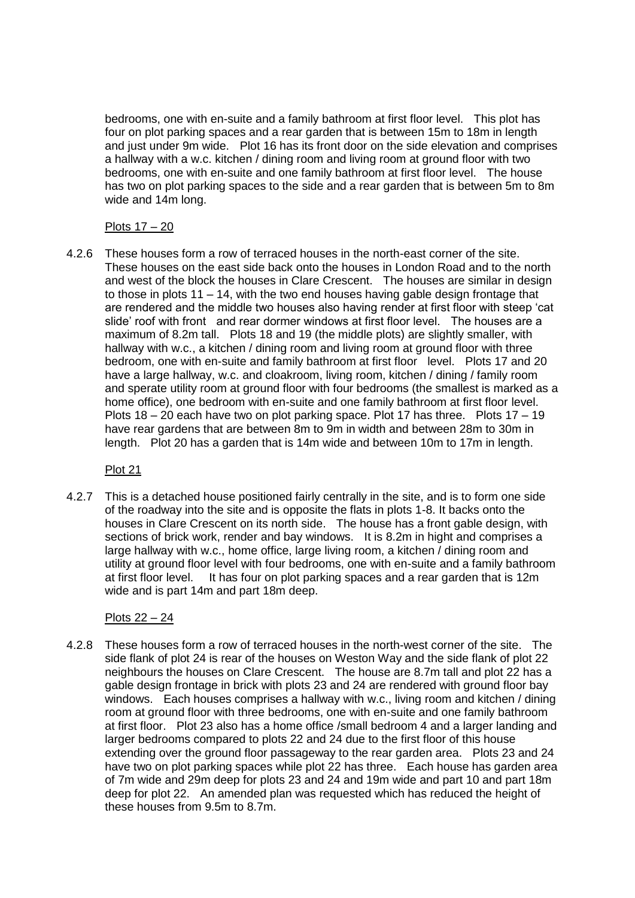bedrooms, one with en-suite and a family bathroom at first floor level. This plot has four on plot parking spaces and a rear garden that is between 15m to 18m in length and just under 9m wide. Plot 16 has its front door on the side elevation and comprises a hallway with a w.c. kitchen / dining room and living room at ground floor with two bedrooms, one with en-suite and one family bathroom at first floor level. The house has two on plot parking spaces to the side and a rear garden that is between 5m to 8m wide and 14m long.

# Plots 17 – 20

4.2.6 These houses form a row of terraced houses in the north-east corner of the site. These houses on the east side back onto the houses in London Road and to the north and west of the block the houses in Clare Crescent. The houses are similar in design to those in plots 11 – 14, with the two end houses having gable design frontage that are rendered and the middle two houses also having render at first floor with steep 'cat slide' roof with front and rear dormer windows at first floor level. The houses are a maximum of 8.2m tall. Plots 18 and 19 (the middle plots) are slightly smaller, with hallway with w.c., a kitchen / dining room and living room at ground floor with three bedroom, one with en-suite and family bathroom at first floor level. Plots 17 and 20 have a large hallway, w.c. and cloakroom, living room, kitchen / dining / family room and sperate utility room at ground floor with four bedrooms (the smallest is marked as a home office), one bedroom with en-suite and one family bathroom at first floor level. Plots 18 – 20 each have two on plot parking space. Plot 17 has three. Plots 17 – 19 have rear gardens that are between 8m to 9m in width and between 28m to 30m in length. Plot 20 has a garden that is 14m wide and between 10m to 17m in length.

Plot 21

4.2.7 This is a detached house positioned fairly centrally in the site, and is to form one side of the roadway into the site and is opposite the flats in plots 1-8. It backs onto the houses in Clare Crescent on its north side. The house has a front gable design, with sections of brick work, render and bay windows. It is 8.2m in hight and comprises a large hallway with w.c., home office, large living room, a kitchen / dining room and utility at ground floor level with four bedrooms, one with en-suite and a family bathroom at first floor level. It has four on plot parking spaces and a rear garden that is 12m wide and is part 14m and part 18m deep.

# Plots 22 – 24

4.2.8 These houses form a row of terraced houses in the north-west corner of the site. The side flank of plot 24 is rear of the houses on Weston Way and the side flank of plot 22 neighbours the houses on Clare Crescent. The house are 8.7m tall and plot 22 has a gable design frontage in brick with plots 23 and 24 are rendered with ground floor bay windows. Each houses comprises a hallway with w.c., living room and kitchen / dining room at ground floor with three bedrooms, one with en-suite and one family bathroom at first floor. Plot 23 also has a home office /small bedroom 4 and a larger landing and larger bedrooms compared to plots 22 and 24 due to the first floor of this house extending over the ground floor passageway to the rear garden area. Plots 23 and 24 have two on plot parking spaces while plot 22 has three. Each house has garden area of 7m wide and 29m deep for plots 23 and 24 and 19m wide and part 10 and part 18m deep for plot 22. An amended plan was requested which has reduced the height of these houses from 9.5m to 8.7m.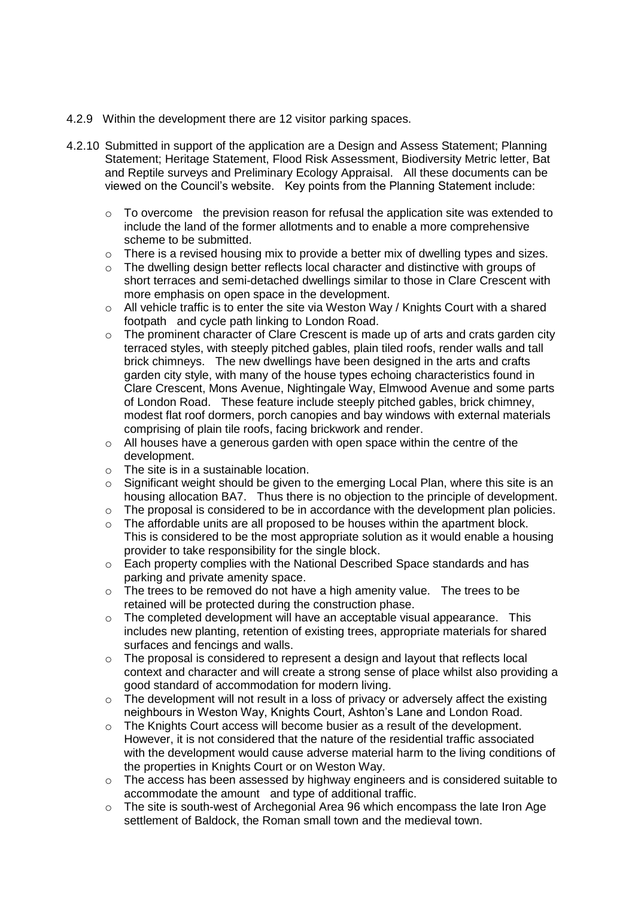- 4.2.9 Within the development there are 12 visitor parking spaces.
- 4.2.10 Submitted in support of the application are a Design and Assess Statement; Planning Statement; Heritage Statement, Flood Risk Assessment, Biodiversity Metric letter, Bat and Reptile surveys and Preliminary Ecology Appraisal. All these documents can be viewed on the Council's website. Key points from the Planning Statement include:
	- $\circ$  To overcome the prevision reason for refusal the application site was extended to include the land of the former allotments and to enable a more comprehensive scheme to be submitted.
	- $\circ$  There is a revised housing mix to provide a better mix of dwelling types and sizes.
	- $\circ$  The dwelling design better reflects local character and distinctive with groups of short terraces and semi-detached dwellings similar to those in Clare Crescent with more emphasis on open space in the development.
	- $\circ$  All vehicle traffic is to enter the site via Weston Way / Knights Court with a shared footpath and cycle path linking to London Road.
	- $\circ$  The prominent character of Clare Crescent is made up of arts and crats garden city terraced styles, with steeply pitched gables, plain tiled roofs, render walls and tall brick chimneys. The new dwellings have been designed in the arts and crafts garden city style, with many of the house types echoing characteristics found in Clare Crescent, Mons Avenue, Nightingale Way, Elmwood Avenue and some parts of London Road. These feature include steeply pitched gables, brick chimney, modest flat roof dormers, porch canopies and bay windows with external materials comprising of plain tile roofs, facing brickwork and render.
	- $\circ$  All houses have a generous garden with open space within the centre of the development.
	- o The site is in a sustainable location.
	- o Significant weight should be given to the emerging Local Plan, where this site is an housing allocation BA7. Thus there is no objection to the principle of development.
	- o The proposal is considered to be in accordance with the development plan policies.
	- $\circ$  The affordable units are all proposed to be houses within the apartment block. This is considered to be the most appropriate solution as it would enable a housing provider to take responsibility for the single block.
	- o Each property complies with the National Described Space standards and has parking and private amenity space.
	- o The trees to be removed do not have a high amenity value. The trees to be retained will be protected during the construction phase.
	- $\circ$  The completed development will have an acceptable visual appearance. This includes new planting, retention of existing trees, appropriate materials for shared surfaces and fencings and walls.
	- o The proposal is considered to represent a design and layout that reflects local context and character and will create a strong sense of place whilst also providing a good standard of accommodation for modern living.
	- o The development will not result in a loss of privacy or adversely affect the existing neighbours in Weston Way, Knights Court, Ashton's Lane and London Road.
	- o The Knights Court access will become busier as a result of the development. However, it is not considered that the nature of the residential traffic associated with the development would cause adverse material harm to the living conditions of the properties in Knights Court or on Weston Way.
	- o The access has been assessed by highway engineers and is considered suitable to accommodate the amount and type of additional traffic.
	- $\circ$  The site is south-west of Archegonial Area 96 which encompass the late Iron Age settlement of Baldock, the Roman small town and the medieval town.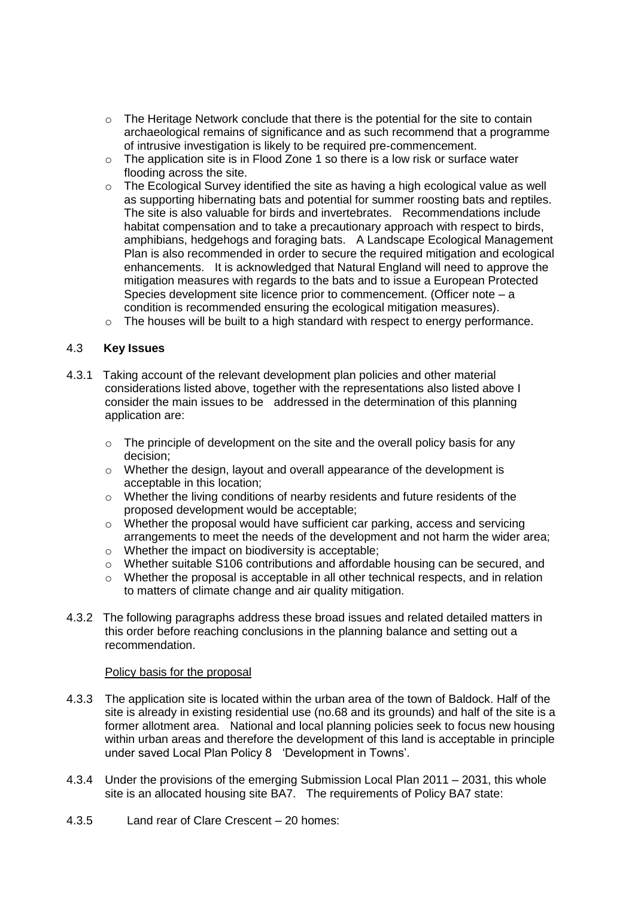- o The Heritage Network conclude that there is the potential for the site to contain archaeological remains of significance and as such recommend that a programme of intrusive investigation is likely to be required pre-commencement.
- $\circ$  The application site is in Flood Zone 1 so there is a low risk or surface water flooding across the site.
- $\circ$  The Ecological Survey identified the site as having a high ecological value as well as supporting hibernating bats and potential for summer roosting bats and reptiles. The site is also valuable for birds and invertebrates. Recommendations include habitat compensation and to take a precautionary approach with respect to birds, amphibians, hedgehogs and foraging bats. A Landscape Ecological Management Plan is also recommended in order to secure the required mitigation and ecological enhancements. It is acknowledged that Natural England will need to approve the mitigation measures with regards to the bats and to issue a European Protected Species development site licence prior to commencement. (Officer note – a condition is recommended ensuring the ecological mitigation measures).
- o The houses will be built to a high standard with respect to energy performance.

### 4.3 **Key Issues**

- 4.3.1 Taking account of the relevant development plan policies and other material considerations listed above, together with the representations also listed above I consider the main issues to be addressed in the determination of this planning application are:
	- $\circ$  The principle of development on the site and the overall policy basis for any decision;
	- o Whether the design, layout and overall appearance of the development is acceptable in this location;
	- $\circ$  Whether the living conditions of nearby residents and future residents of the proposed development would be acceptable;
	- $\circ$  Whether the proposal would have sufficient car parking, access and servicing arrangements to meet the needs of the development and not harm the wider area;
	- o Whether the impact on biodiversity is acceptable;
	- o Whether suitable S106 contributions and affordable housing can be secured, and
	- o Whether the proposal is acceptable in all other technical respects, and in relation to matters of climate change and air quality mitigation.
- 4.3.2 The following paragraphs address these broad issues and related detailed matters in this order before reaching conclusions in the planning balance and setting out a recommendation.

#### Policy basis for the proposal

- 4.3.3 The application site is located within the urban area of the town of Baldock. Half of the site is already in existing residential use (no.68 and its grounds) and half of the site is a former allotment area. National and local planning policies seek to focus new housing within urban areas and therefore the development of this land is acceptable in principle under saved Local Plan Policy 8 'Development in Towns'.
- 4.3.4 Under the provisions of the emerging Submission Local Plan 2011 2031, this whole site is an allocated housing site BA7. The requirements of Policy BA7 state:
- 4.3.5 Land rear of Clare Crescent 20 homes: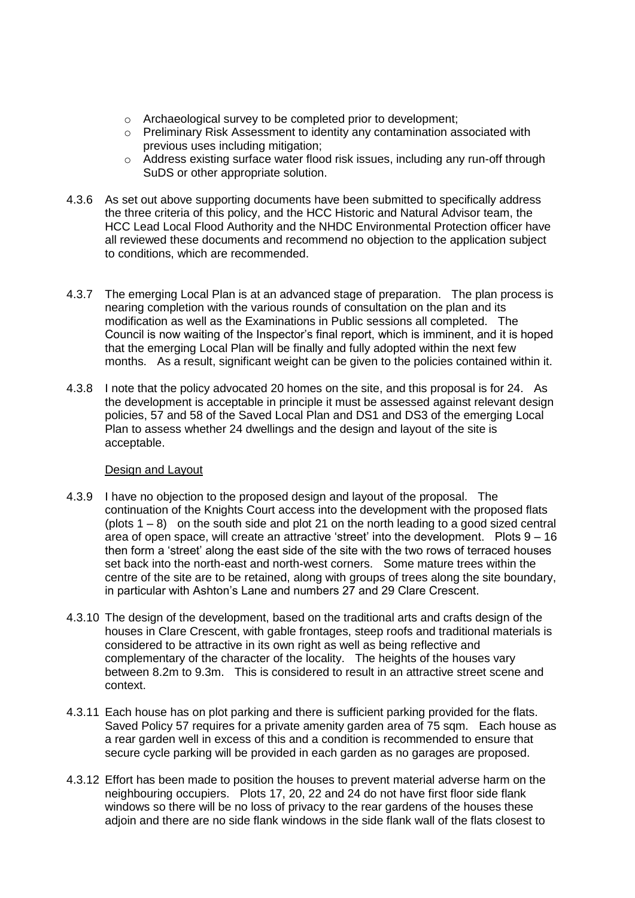- o Archaeological survey to be completed prior to development;
- o Preliminary Risk Assessment to identity any contamination associated with previous uses including mitigation;
- $\circ$  Address existing surface water flood risk issues, including any run-off through SuDS or other appropriate solution.
- 4.3.6 As set out above supporting documents have been submitted to specifically address the three criteria of this policy, and the HCC Historic and Natural Advisor team, the HCC Lead Local Flood Authority and the NHDC Environmental Protection officer have all reviewed these documents and recommend no objection to the application subject to conditions, which are recommended.
- 4.3.7 The emerging Local Plan is at an advanced stage of preparation. The plan process is nearing completion with the various rounds of consultation on the plan and its modification as well as the Examinations in Public sessions all completed. The Council is now waiting of the Inspector's final report, which is imminent, and it is hoped that the emerging Local Plan will be finally and fully adopted within the next few months. As a result, significant weight can be given to the policies contained within it.
- 4.3.8 I note that the policy advocated 20 homes on the site, and this proposal is for 24. As the development is acceptable in principle it must be assessed against relevant design policies, 57 and 58 of the Saved Local Plan and DS1 and DS3 of the emerging Local Plan to assess whether 24 dwellings and the design and layout of the site is acceptable.

## Design and Layout

- 4.3.9 I have no objection to the proposed design and layout of the proposal. The continuation of the Knights Court access into the development with the proposed flats (plots  $1 - 8$ ) on the south side and plot 21 on the north leading to a good sized central area of open space, will create an attractive 'street' into the development. Plots 9 – 16 then form a 'street' along the east side of the site with the two rows of terraced houses set back into the north-east and north-west corners. Some mature trees within the centre of the site are to be retained, along with groups of trees along the site boundary, in particular with Ashton's Lane and numbers 27 and 29 Clare Crescent.
- 4.3.10 The design of the development, based on the traditional arts and crafts design of the houses in Clare Crescent, with gable frontages, steep roofs and traditional materials is considered to be attractive in its own right as well as being reflective and complementary of the character of the locality. The heights of the houses vary between 8.2m to 9.3m. This is considered to result in an attractive street scene and context.
- 4.3.11 Each house has on plot parking and there is sufficient parking provided for the flats. Saved Policy 57 requires for a private amenity garden area of 75 sqm. Each house as a rear garden well in excess of this and a condition is recommended to ensure that secure cycle parking will be provided in each garden as no garages are proposed.
- 4.3.12 Effort has been made to position the houses to prevent material adverse harm on the neighbouring occupiers. Plots 17, 20, 22 and 24 do not have first floor side flank windows so there will be no loss of privacy to the rear gardens of the houses these adjoin and there are no side flank windows in the side flank wall of the flats closest to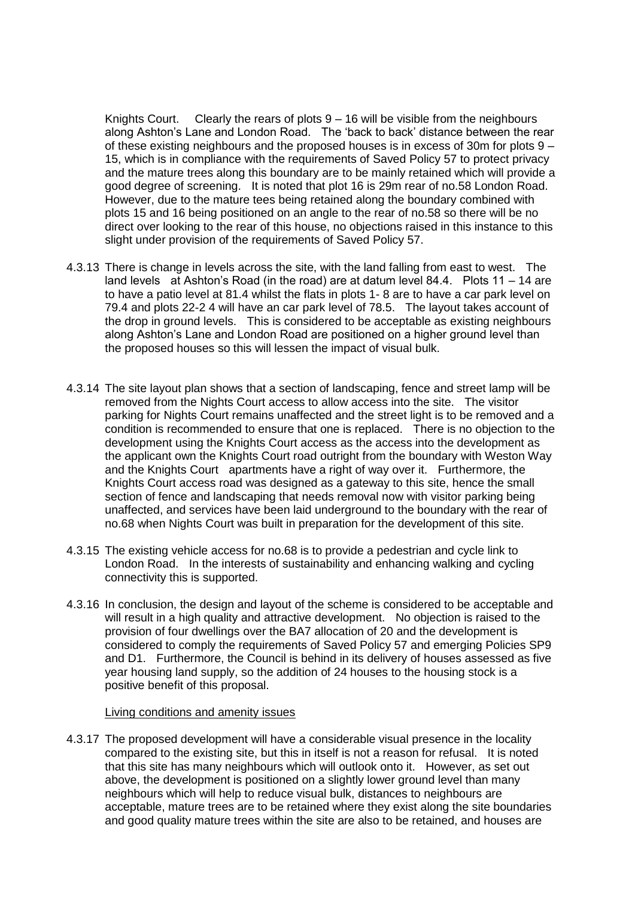Knights Court. Clearly the rears of plots 9 – 16 will be visible from the neighbours along Ashton's Lane and London Road. The 'back to back' distance between the rear of these existing neighbours and the proposed houses is in excess of 30m for plots 9 – 15, which is in compliance with the requirements of Saved Policy 57 to protect privacy and the mature trees along this boundary are to be mainly retained which will provide a good degree of screening. It is noted that plot 16 is 29m rear of no.58 London Road. However, due to the mature tees being retained along the boundary combined with plots 15 and 16 being positioned on an angle to the rear of no.58 so there will be no direct over looking to the rear of this house, no objections raised in this instance to this slight under provision of the requirements of Saved Policy 57.

- 4.3.13 There is change in levels across the site, with the land falling from east to west. The land levels at Ashton's Road (in the road) are at datum level 84.4. Plots 11 – 14 are to have a patio level at 81.4 whilst the flats in plots 1- 8 are to have a car park level on 79.4 and plots 22-2 4 will have an car park level of 78.5. The layout takes account of the drop in ground levels. This is considered to be acceptable as existing neighbours along Ashton's Lane and London Road are positioned on a higher ground level than the proposed houses so this will lessen the impact of visual bulk.
- 4.3.14 The site layout plan shows that a section of landscaping, fence and street lamp will be removed from the Nights Court access to allow access into the site. The visitor parking for Nights Court remains unaffected and the street light is to be removed and a condition is recommended to ensure that one is replaced. There is no objection to the development using the Knights Court access as the access into the development as the applicant own the Knights Court road outright from the boundary with Weston Way and the Knights Court apartments have a right of way over it. Furthermore, the Knights Court access road was designed as a gateway to this site, hence the small section of fence and landscaping that needs removal now with visitor parking being unaffected, and services have been laid underground to the boundary with the rear of no.68 when Nights Court was built in preparation for the development of this site.
- 4.3.15 The existing vehicle access for no.68 is to provide a pedestrian and cycle link to London Road. In the interests of sustainability and enhancing walking and cycling connectivity this is supported.
- 4.3.16 In conclusion, the design and layout of the scheme is considered to be acceptable and will result in a high quality and attractive development. No objection is raised to the provision of four dwellings over the BA7 allocation of 20 and the development is considered to comply the requirements of Saved Policy 57 and emerging Policies SP9 and D1. Furthermore, the Council is behind in its delivery of houses assessed as five year housing land supply, so the addition of 24 houses to the housing stock is a positive benefit of this proposal.

#### Living conditions and amenity issues

4.3.17 The proposed development will have a considerable visual presence in the locality compared to the existing site, but this in itself is not a reason for refusal. It is noted that this site has many neighbours which will outlook onto it. However, as set out above, the development is positioned on a slightly lower ground level than many neighbours which will help to reduce visual bulk, distances to neighbours are acceptable, mature trees are to be retained where they exist along the site boundaries and good quality mature trees within the site are also to be retained, and houses are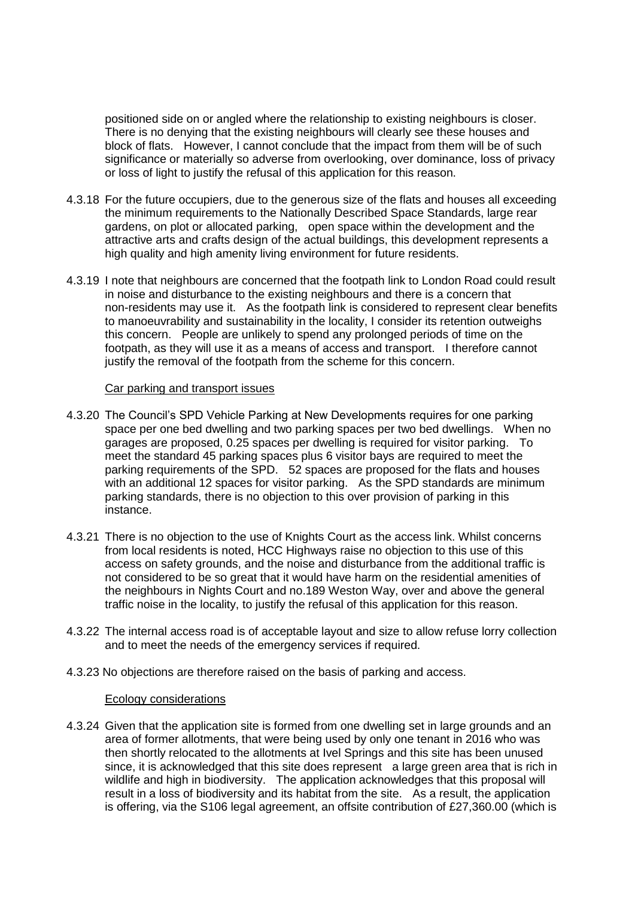positioned side on or angled where the relationship to existing neighbours is closer. There is no denying that the existing neighbours will clearly see these houses and block of flats. However, I cannot conclude that the impact from them will be of such significance or materially so adverse from overlooking, over dominance, loss of privacy or loss of light to justify the refusal of this application for this reason.

- 4.3.18 For the future occupiers, due to the generous size of the flats and houses all exceeding the minimum requirements to the Nationally Described Space Standards, large rear gardens, on plot or allocated parking, open space within the development and the attractive arts and crafts design of the actual buildings, this development represents a high quality and high amenity living environment for future residents.
- 4.3.19 I note that neighbours are concerned that the footpath link to London Road could result in noise and disturbance to the existing neighbours and there is a concern that non-residents may use it. As the footpath link is considered to represent clear benefits to manoeuvrability and sustainability in the locality, I consider its retention outweighs this concern. People are unlikely to spend any prolonged periods of time on the footpath, as they will use it as a means of access and transport. I therefore cannot justify the removal of the footpath from the scheme for this concern.

#### Car parking and transport issues

- 4.3.20 The Council's SPD Vehicle Parking at New Developments requires for one parking space per one bed dwelling and two parking spaces per two bed dwellings. When no garages are proposed, 0.25 spaces per dwelling is required for visitor parking. To meet the standard 45 parking spaces plus 6 visitor bays are required to meet the parking requirements of the SPD. 52 spaces are proposed for the flats and houses with an additional 12 spaces for visitor parking. As the SPD standards are minimum parking standards, there is no objection to this over provision of parking in this instance.
- 4.3.21 There is no objection to the use of Knights Court as the access link. Whilst concerns from local residents is noted, HCC Highways raise no objection to this use of this access on safety grounds, and the noise and disturbance from the additional traffic is not considered to be so great that it would have harm on the residential amenities of the neighbours in Nights Court and no.189 Weston Way, over and above the general traffic noise in the locality, to justify the refusal of this application for this reason.
- 4.3.22 The internal access road is of acceptable layout and size to allow refuse lorry collection and to meet the needs of the emergency services if required.
- 4.3.23 No objections are therefore raised on the basis of parking and access.

#### Ecology considerations

4.3.24 Given that the application site is formed from one dwelling set in large grounds and an area of former allotments, that were being used by only one tenant in 2016 who was then shortly relocated to the allotments at Ivel Springs and this site has been unused since, it is acknowledged that this site does represent a large green area that is rich in wildlife and high in biodiversity. The application acknowledges that this proposal will result in a loss of biodiversity and its habitat from the site. As a result, the application is offering, via the S106 legal agreement, an offsite contribution of £27,360.00 (which is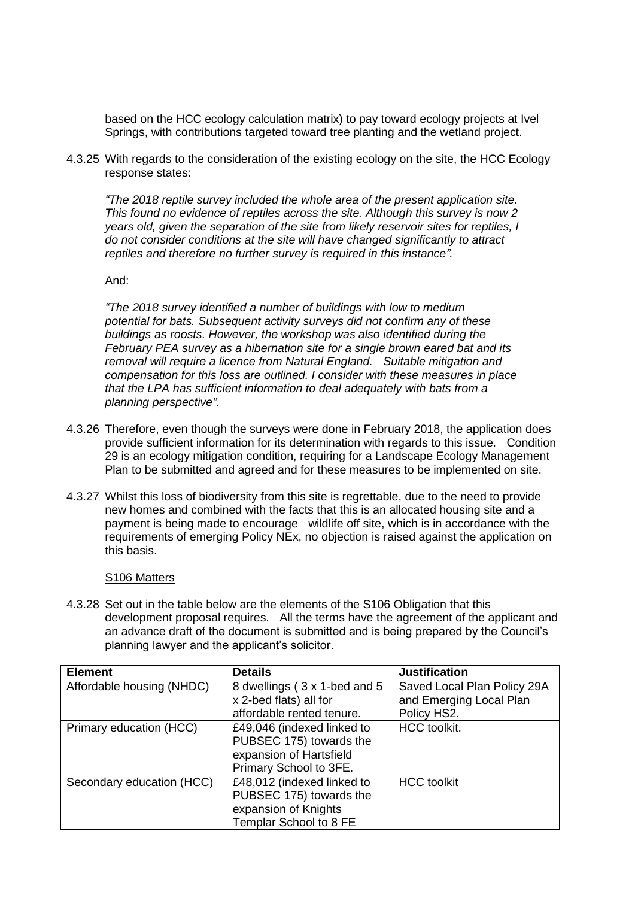based on the HCC ecology calculation matrix) to pay toward ecology projects at Ivel Springs, with contributions targeted toward tree planting and the wetland project.

4.3.25 With regards to the consideration of the existing ecology on the site, the HCC Ecology response states:

*"The 2018 reptile survey included the whole area of the present application site. This found no evidence of reptiles across the site. Although this survey is now 2 years old, given the separation of the site from likely reservoir sites for reptiles, I do not consider conditions at the site will have changed significantly to attract reptiles and therefore no further survey is required in this instance".* 

And:

*"The 2018 survey identified a number of buildings with low to medium potential for bats. Subsequent activity surveys did not confirm any of these buildings as roosts. However, the workshop was also identified during the February PEA survey as a hibernation site for a single brown eared bat and its removal will require a licence from Natural England. Suitable mitigation and compensation for this loss are outlined. I consider with these measures in place that the LPA has sufficient information to deal adequately with bats from a planning perspective".*

- 4.3.26 Therefore, even though the surveys were done in February 2018, the application does provide sufficient information for its determination with regards to this issue. Condition 29 is an ecology mitigation condition, requiring for a Landscape Ecology Management Plan to be submitted and agreed and for these measures to be implemented on site.
- 4.3.27 Whilst this loss of biodiversity from this site is regrettable, due to the need to provide new homes and combined with the facts that this is an allocated housing site and a payment is being made to encourage wildlife off site, which is in accordance with the requirements of emerging Policy NEx, no objection is raised against the application on this basis.

#### S106 Matters

4.3.28 Set out in the table below are the elements of the S106 Obligation that this development proposal requires. All the terms have the agreement of the applicant and an advance draft of the document is submitted and is being prepared by the Council's planning lawyer and the applicant's solicitor.

| <b>Element</b>            | <b>Details</b>                | <b>Justification</b>        |
|---------------------------|-------------------------------|-----------------------------|
| Affordable housing (NHDC) | 8 dwellings (3 x 1-bed and 5) | Saved Local Plan Policy 29A |
|                           | x 2-bed flats) all for        | and Emerging Local Plan     |
|                           | affordable rented tenure.     | Policy HS2.                 |
| Primary education (HCC)   | £49,046 (indexed linked to    | <b>HCC</b> toolkit.         |
|                           | PUBSEC 175) towards the       |                             |
|                           | expansion of Hartsfield       |                             |
|                           | Primary School to 3FE.        |                             |
| Secondary education (HCC) | £48,012 (indexed linked to    | <b>HCC</b> toolkit          |
|                           | PUBSEC 175) towards the       |                             |
|                           | expansion of Knights          |                             |
|                           | Templar School to 8 FE        |                             |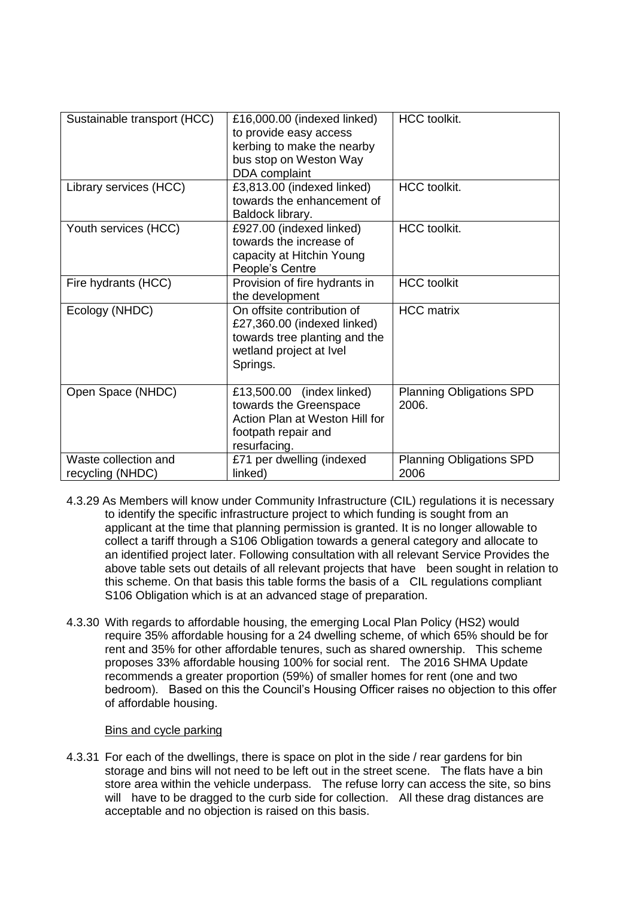| Sustainable transport (HCC)              | £16,000.00 (indexed linked)<br>to provide easy access<br>kerbing to make the nearby<br>bus stop on Weston Way<br>DDA complaint    | <b>HCC</b> toolkit.                      |
|------------------------------------------|-----------------------------------------------------------------------------------------------------------------------------------|------------------------------------------|
| Library services (HCC)                   | £3,813.00 (indexed linked)<br>towards the enhancement of<br>Baldock library.                                                      | <b>HCC</b> toolkit.                      |
| Youth services (HCC)                     | £927.00 (indexed linked)<br>towards the increase of<br>capacity at Hitchin Young<br>People's Centre                               | <b>HCC</b> toolkit.                      |
| Fire hydrants (HCC)                      | Provision of fire hydrants in<br>the development                                                                                  | <b>HCC</b> toolkit                       |
| Ecology (NHDC)                           | On offsite contribution of<br>£27,360.00 (indexed linked)<br>towards tree planting and the<br>wetland project at Ivel<br>Springs. | <b>HCC</b> matrix                        |
| Open Space (NHDC)                        | £13,500.00 (index linked)<br>towards the Greenspace<br>Action Plan at Weston Hill for<br>footpath repair and<br>resurfacing.      | <b>Planning Obligations SPD</b><br>2006. |
| Waste collection and<br>recycling (NHDC) | £71 per dwelling (indexed<br>linked)                                                                                              | <b>Planning Obligations SPD</b><br>2006  |

- 4.3.29 As Members will know under Community Infrastructure (CIL) regulations it is necessary to identify the specific infrastructure project to which funding is sought from an applicant at the time that planning permission is granted. It is no longer allowable to collect a tariff through a S106 Obligation towards a general category and allocate to an identified project later. Following consultation with all relevant Service Provides the above table sets out details of all relevant projects that have been sought in relation to this scheme. On that basis this table forms the basis of a CIL regulations compliant S106 Obligation which is at an advanced stage of preparation.
- 4.3.30 With regards to affordable housing, the emerging Local Plan Policy (HS2) would require 35% affordable housing for a 24 dwelling scheme, of which 65% should be for rent and 35% for other affordable tenures, such as shared ownership. This scheme proposes 33% affordable housing 100% for social rent. The 2016 SHMA Update recommends a greater proportion (59%) of smaller homes for rent (one and two bedroom). Based on this the Council's Housing Officer raises no objection to this offer of affordable housing.

## Bins and cycle parking

4.3.31 For each of the dwellings, there is space on plot in the side / rear gardens for bin storage and bins will not need to be left out in the street scene. The flats have a bin store area within the vehicle underpass. The refuse lorry can access the site, so bins will have to be dragged to the curb side for collection. All these drag distances are acceptable and no objection is raised on this basis.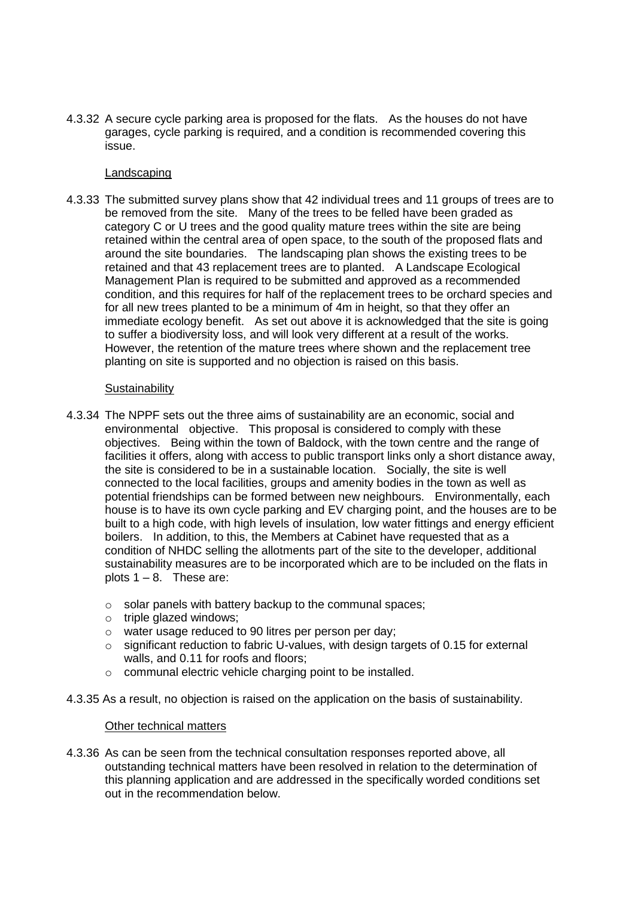4.3.32 A secure cycle parking area is proposed for the flats. As the houses do not have garages, cycle parking is required, and a condition is recommended covering this issue.

#### Landscaping

4.3.33 The submitted survey plans show that 42 individual trees and 11 groups of trees are to be removed from the site. Many of the trees to be felled have been graded as category C or U trees and the good quality mature trees within the site are being retained within the central area of open space, to the south of the proposed flats and around the site boundaries. The landscaping plan shows the existing trees to be retained and that 43 replacement trees are to planted. A Landscape Ecological Management Plan is required to be submitted and approved as a recommended condition, and this requires for half of the replacement trees to be orchard species and for all new trees planted to be a minimum of 4m in height, so that they offer an immediate ecology benefit. As set out above it is acknowledged that the site is going to suffer a biodiversity loss, and will look very different at a result of the works. However, the retention of the mature trees where shown and the replacement tree planting on site is supported and no objection is raised on this basis.

### **Sustainability**

- 4.3.34 The NPPF sets out the three aims of sustainability are an economic, social and environmental objective. This proposal is considered to comply with these objectives. Being within the town of Baldock, with the town centre and the range of facilities it offers, along with access to public transport links only a short distance away, the site is considered to be in a sustainable location. Socially, the site is well connected to the local facilities, groups and amenity bodies in the town as well as potential friendships can be formed between new neighbours. Environmentally, each house is to have its own cycle parking and EV charging point, and the houses are to be built to a high code, with high levels of insulation, low water fittings and energy efficient boilers. In addition, to this, the Members at Cabinet have requested that as a condition of NHDC selling the allotments part of the site to the developer, additional sustainability measures are to be incorporated which are to be included on the flats in plots  $1 - 8$ . These are:
	- o solar panels with battery backup to the communal spaces;
	- o triple glazed windows;
	- o water usage reduced to 90 litres per person per day;
	- $\circ$  significant reduction to fabric U-values, with design targets of 0.15 for external walls, and 0.11 for roofs and floors;
	- o communal electric vehicle charging point to be installed.
- 4.3.35 As a result, no objection is raised on the application on the basis of sustainability.

#### Other technical matters

4.3.36 As can be seen from the technical consultation responses reported above, all outstanding technical matters have been resolved in relation to the determination of this planning application and are addressed in the specifically worded conditions set out in the recommendation below.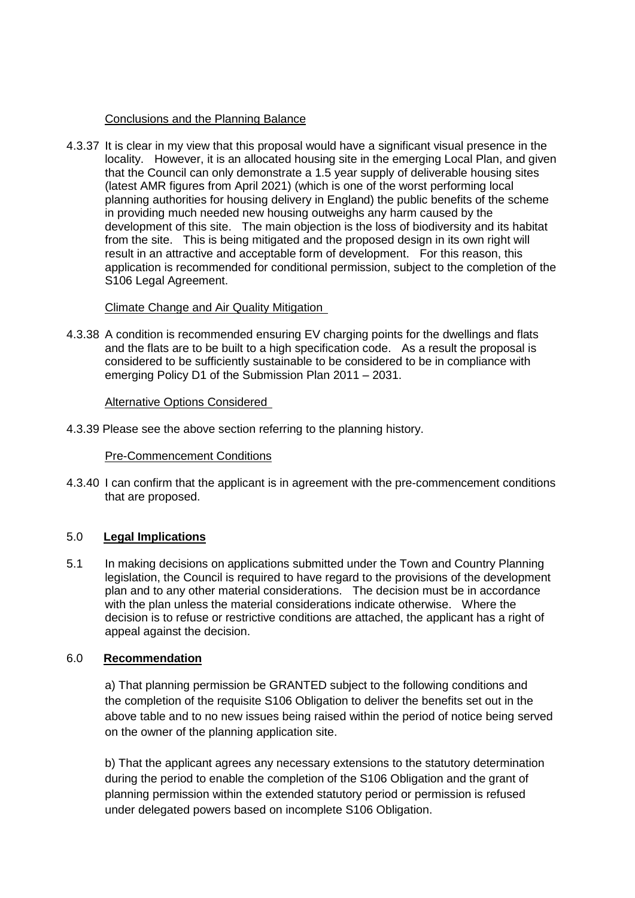## Conclusions and the Planning Balance

4.3.37 It is clear in my view that this proposal would have a significant visual presence in the locality. However, it is an allocated housing site in the emerging Local Plan, and given that the Council can only demonstrate a 1.5 year supply of deliverable housing sites (latest AMR figures from April 2021) (which is one of the worst performing local planning authorities for housing delivery in England) the public benefits of the scheme in providing much needed new housing outweighs any harm caused by the development of this site. The main objection is the loss of biodiversity and its habitat from the site. This is being mitigated and the proposed design in its own right will result in an attractive and acceptable form of development. For this reason, this application is recommended for conditional permission, subject to the completion of the S106 Legal Agreement.

## Climate Change and Air Quality Mitigation

4.3.38 A condition is recommended ensuring EV charging points for the dwellings and flats and the flats are to be built to a high specification code. As a result the proposal is considered to be sufficiently sustainable to be considered to be in compliance with emerging Policy D1 of the Submission Plan 2011 – 2031.

## Alternative Options Considered

4.3.39 Please see the above section referring to the planning history.

#### Pre-Commencement Conditions

4.3.40 I can confirm that the applicant is in agreement with the pre-commencement conditions that are proposed.

## 5.0 **Legal Implications**

5.1 In making decisions on applications submitted under the Town and Country Planning legislation, the Council is required to have regard to the provisions of the development plan and to any other material considerations. The decision must be in accordance with the plan unless the material considerations indicate otherwise. Where the decision is to refuse or restrictive conditions are attached, the applicant has a right of appeal against the decision.

## 6.0 **Recommendation**

a) That planning permission be GRANTED subject to the following conditions and the completion of the requisite S106 Obligation to deliver the benefits set out in the above table and to no new issues being raised within the period of notice being served on the owner of the planning application site.

b) That the applicant agrees any necessary extensions to the statutory determination during the period to enable the completion of the S106 Obligation and the grant of planning permission within the extended statutory period or permission is refused under delegated powers based on incomplete S106 Obligation.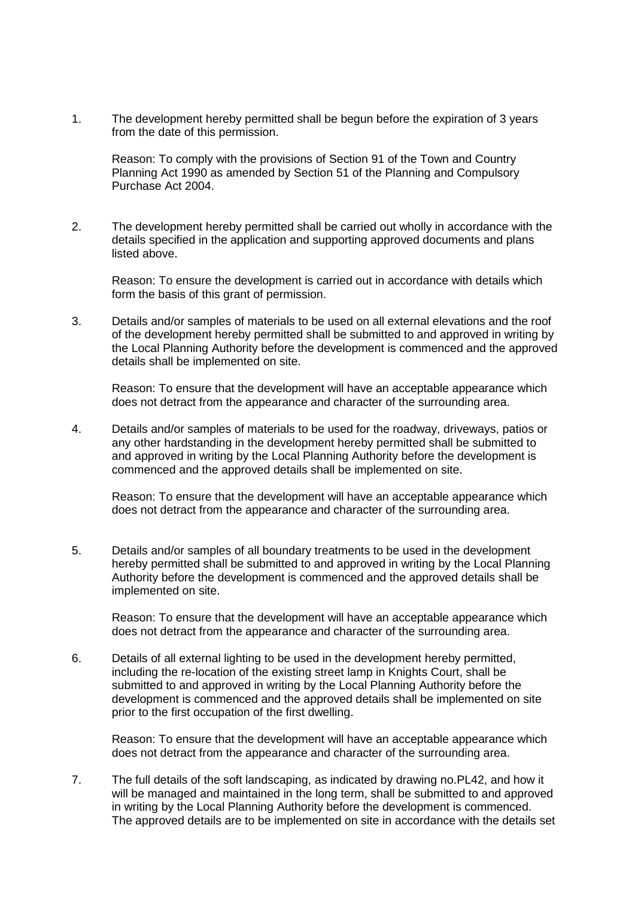1. The development hereby permitted shall be begun before the expiration of 3 years from the date of this permission.

Reason: To comply with the provisions of Section 91 of the Town and Country Planning Act 1990 as amended by Section 51 of the Planning and Compulsory Purchase Act 2004.

2. The development hereby permitted shall be carried out wholly in accordance with the details specified in the application and supporting approved documents and plans listed above.

Reason: To ensure the development is carried out in accordance with details which form the basis of this grant of permission.

3. Details and/or samples of materials to be used on all external elevations and the roof of the development hereby permitted shall be submitted to and approved in writing by the Local Planning Authority before the development is commenced and the approved details shall be implemented on site.

Reason: To ensure that the development will have an acceptable appearance which does not detract from the appearance and character of the surrounding area.

4. Details and/or samples of materials to be used for the roadway, driveways, patios or any other hardstanding in the development hereby permitted shall be submitted to and approved in writing by the Local Planning Authority before the development is commenced and the approved details shall be implemented on site.

Reason: To ensure that the development will have an acceptable appearance which does not detract from the appearance and character of the surrounding area.

5. Details and/or samples of all boundary treatments to be used in the development hereby permitted shall be submitted to and approved in writing by the Local Planning Authority before the development is commenced and the approved details shall be implemented on site.

Reason: To ensure that the development will have an acceptable appearance which does not detract from the appearance and character of the surrounding area.

6. Details of all external lighting to be used in the development hereby permitted, including the re-location of the existing street lamp in Knights Court, shall be submitted to and approved in writing by the Local Planning Authority before the development is commenced and the approved details shall be implemented on site prior to the first occupation of the first dwelling.

Reason: To ensure that the development will have an acceptable appearance which does not detract from the appearance and character of the surrounding area.

7. The full details of the soft landscaping, as indicated by drawing no.PL42, and how it will be managed and maintained in the long term, shall be submitted to and approved in writing by the Local Planning Authority before the development is commenced. The approved details are to be implemented on site in accordance with the details set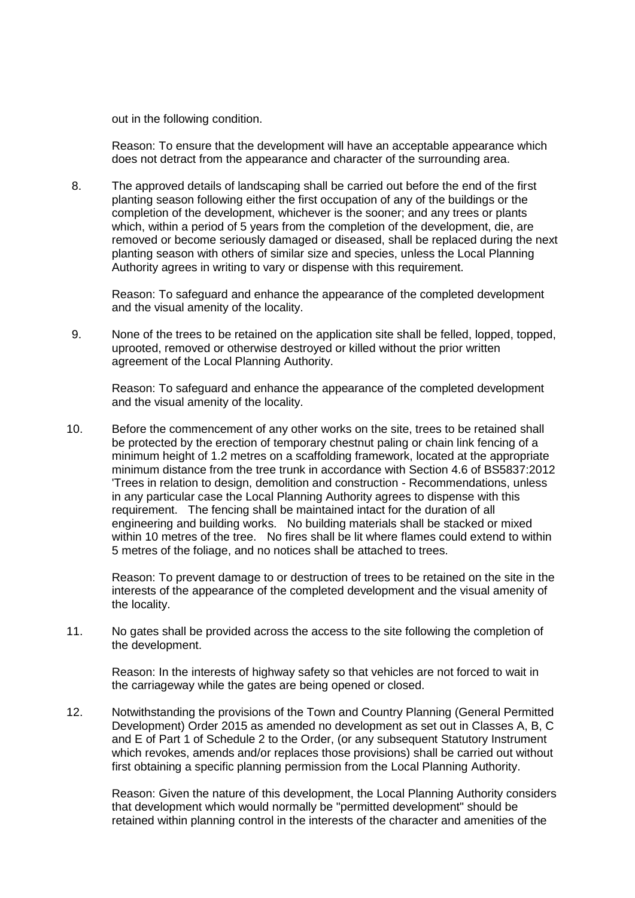out in the following condition.

Reason: To ensure that the development will have an acceptable appearance which does not detract from the appearance and character of the surrounding area.

8. The approved details of landscaping shall be carried out before the end of the first planting season following either the first occupation of any of the buildings or the completion of the development, whichever is the sooner; and any trees or plants which, within a period of 5 years from the completion of the development, die, are removed or become seriously damaged or diseased, shall be replaced during the next planting season with others of similar size and species, unless the Local Planning Authority agrees in writing to vary or dispense with this requirement.

Reason: To safeguard and enhance the appearance of the completed development and the visual amenity of the locality.

9. None of the trees to be retained on the application site shall be felled, lopped, topped, uprooted, removed or otherwise destroyed or killed without the prior written agreement of the Local Planning Authority.

Reason: To safeguard and enhance the appearance of the completed development and the visual amenity of the locality.

10. Before the commencement of any other works on the site, trees to be retained shall be protected by the erection of temporary chestnut paling or chain link fencing of a minimum height of 1.2 metres on a scaffolding framework, located at the appropriate minimum distance from the tree trunk in accordance with Section 4.6 of BS5837:2012 'Trees in relation to design, demolition and construction - Recommendations, unless in any particular case the Local Planning Authority agrees to dispense with this requirement. The fencing shall be maintained intact for the duration of all engineering and building works. No building materials shall be stacked or mixed within 10 metres of the tree. No fires shall be lit where flames could extend to within 5 metres of the foliage, and no notices shall be attached to trees.

Reason: To prevent damage to or destruction of trees to be retained on the site in the interests of the appearance of the completed development and the visual amenity of the locality.

11. No gates shall be provided across the access to the site following the completion of the development.

Reason: In the interests of highway safety so that vehicles are not forced to wait in the carriageway while the gates are being opened or closed.

12. Notwithstanding the provisions of the Town and Country Planning (General Permitted Development) Order 2015 as amended no development as set out in Classes A, B, C and E of Part 1 of Schedule 2 to the Order, (or any subsequent Statutory Instrument which revokes, amends and/or replaces those provisions) shall be carried out without first obtaining a specific planning permission from the Local Planning Authority.

Reason: Given the nature of this development, the Local Planning Authority considers that development which would normally be "permitted development" should be retained within planning control in the interests of the character and amenities of the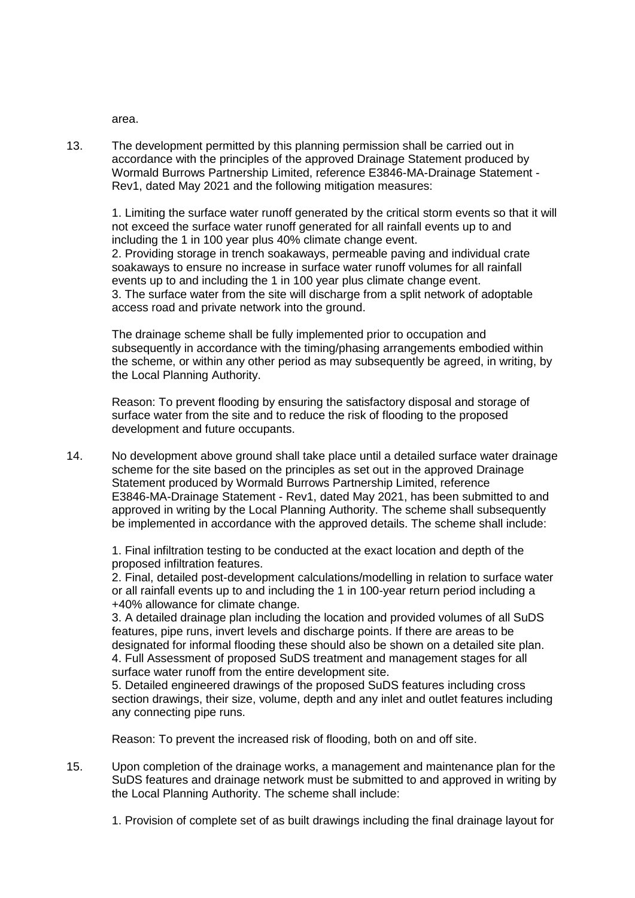area.

13. The development permitted by this planning permission shall be carried out in accordance with the principles of the approved Drainage Statement produced by Wormald Burrows Partnership Limited, reference E3846-MA-Drainage Statement - Rev1, dated May 2021 and the following mitigation measures:

1. Limiting the surface water runoff generated by the critical storm events so that it will not exceed the surface water runoff generated for all rainfall events up to and including the 1 in 100 year plus 40% climate change event. 2. Providing storage in trench soakaways, permeable paving and individual crate soakaways to ensure no increase in surface water runoff volumes for all rainfall events up to and including the 1 in 100 year plus climate change event. 3. The surface water from the site will discharge from a split network of adoptable access road and private network into the ground.

The drainage scheme shall be fully implemented prior to occupation and subsequently in accordance with the timing/phasing arrangements embodied within the scheme, or within any other period as may subsequently be agreed, in writing, by the Local Planning Authority.

Reason: To prevent flooding by ensuring the satisfactory disposal and storage of surface water from the site and to reduce the risk of flooding to the proposed development and future occupants.

14. No development above ground shall take place until a detailed surface water drainage scheme for the site based on the principles as set out in the approved Drainage Statement produced by Wormald Burrows Partnership Limited, reference E3846-MA-Drainage Statement - Rev1, dated May 2021, has been submitted to and approved in writing by the Local Planning Authority. The scheme shall subsequently be implemented in accordance with the approved details. The scheme shall include:

1. Final infiltration testing to be conducted at the exact location and depth of the proposed infiltration features.

2. Final, detailed post-development calculations/modelling in relation to surface water or all rainfall events up to and including the 1 in 100-year return period including a +40% allowance for climate change.

3. A detailed drainage plan including the location and provided volumes of all SuDS features, pipe runs, invert levels and discharge points. If there are areas to be designated for informal flooding these should also be shown on a detailed site plan. 4. Full Assessment of proposed SuDS treatment and management stages for all surface water runoff from the entire development site.

5. Detailed engineered drawings of the proposed SuDS features including cross section drawings, their size, volume, depth and any inlet and outlet features including any connecting pipe runs.

Reason: To prevent the increased risk of flooding, both on and off site.

- 15. Upon completion of the drainage works, a management and maintenance plan for the SuDS features and drainage network must be submitted to and approved in writing by the Local Planning Authority. The scheme shall include:
	- 1. Provision of complete set of as built drawings including the final drainage layout for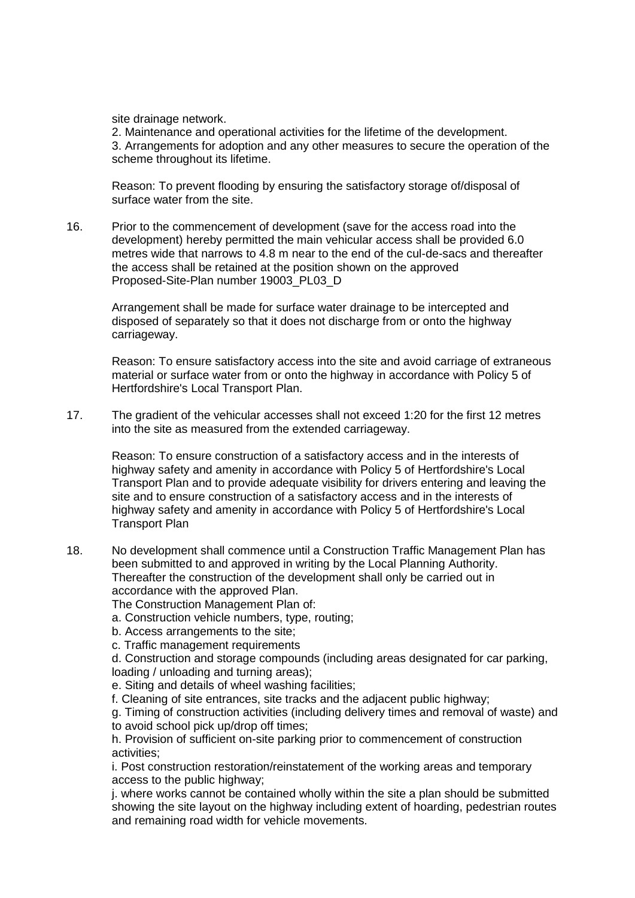site drainage network.

2. Maintenance and operational activities for the lifetime of the development. 3. Arrangements for adoption and any other measures to secure the operation of the scheme throughout its lifetime.

Reason: To prevent flooding by ensuring the satisfactory storage of/disposal of surface water from the site.

16. Prior to the commencement of development (save for the access road into the development) hereby permitted the main vehicular access shall be provided 6.0 metres wide that narrows to 4.8 m near to the end of the cul-de-sacs and thereafter the access shall be retained at the position shown on the approved Proposed-Site-Plan number 19003\_PL03\_D

Arrangement shall be made for surface water drainage to be intercepted and disposed of separately so that it does not discharge from or onto the highway carriageway.

Reason: To ensure satisfactory access into the site and avoid carriage of extraneous material or surface water from or onto the highway in accordance with Policy 5 of Hertfordshire's Local Transport Plan.

17. The gradient of the vehicular accesses shall not exceed 1:20 for the first 12 metres into the site as measured from the extended carriageway.

Reason: To ensure construction of a satisfactory access and in the interests of highway safety and amenity in accordance with Policy 5 of Hertfordshire's Local Transport Plan and to provide adequate visibility for drivers entering and leaving the site and to ensure construction of a satisfactory access and in the interests of highway safety and amenity in accordance with Policy 5 of Hertfordshire's Local Transport Plan

18. No development shall commence until a Construction Traffic Management Plan has been submitted to and approved in writing by the Local Planning Authority. Thereafter the construction of the development shall only be carried out in accordance with the approved Plan.

The Construction Management Plan of:

- a. Construction vehicle numbers, type, routing;
- b. Access arrangements to the site;
- c. Traffic management requirements

d. Construction and storage compounds (including areas designated for car parking, loading / unloading and turning areas);

e. Siting and details of wheel washing facilities;

f. Cleaning of site entrances, site tracks and the adjacent public highway;

g. Timing of construction activities (including delivery times and removal of waste) and to avoid school pick up/drop off times;

h. Provision of sufficient on-site parking prior to commencement of construction activities;

i. Post construction restoration/reinstatement of the working areas and temporary access to the public highway;

j. where works cannot be contained wholly within the site a plan should be submitted showing the site layout on the highway including extent of hoarding, pedestrian routes and remaining road width for vehicle movements.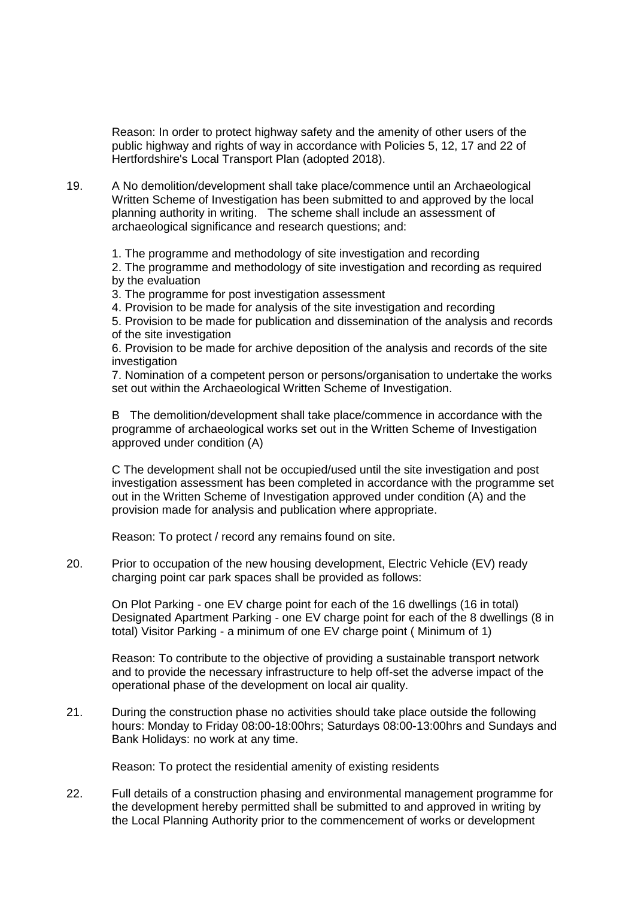Reason: In order to protect highway safety and the amenity of other users of the public highway and rights of way in accordance with Policies 5, 12, 17 and 22 of Hertfordshire's Local Transport Plan (adopted 2018).

19. A No demolition/development shall take place/commence until an Archaeological Written Scheme of Investigation has been submitted to and approved by the local planning authority in writing. The scheme shall include an assessment of archaeological significance and research questions; and:

1. The programme and methodology of site investigation and recording

2. The programme and methodology of site investigation and recording as required by the evaluation

3. The programme for post investigation assessment

4. Provision to be made for analysis of the site investigation and recording

5. Provision to be made for publication and dissemination of the analysis and records of the site investigation

6. Provision to be made for archive deposition of the analysis and records of the site investigation

7. Nomination of a competent person or persons/organisation to undertake the works set out within the Archaeological Written Scheme of Investigation.

B The demolition/development shall take place/commence in accordance with the programme of archaeological works set out in the Written Scheme of Investigation approved under condition (A)

C The development shall not be occupied/used until the site investigation and post investigation assessment has been completed in accordance with the programme set out in the Written Scheme of Investigation approved under condition (A) and the provision made for analysis and publication where appropriate.

Reason: To protect / record any remains found on site.

20. Prior to occupation of the new housing development, Electric Vehicle (EV) ready charging point car park spaces shall be provided as follows:

On Plot Parking - one EV charge point for each of the 16 dwellings (16 in total) Designated Apartment Parking - one EV charge point for each of the 8 dwellings (8 in total) Visitor Parking - a minimum of one EV charge point ( Minimum of 1)

Reason: To contribute to the objective of providing a sustainable transport network and to provide the necessary infrastructure to help off-set the adverse impact of the operational phase of the development on local air quality.

21. During the construction phase no activities should take place outside the following hours: Monday to Friday 08:00-18:00hrs; Saturdays 08:00-13:00hrs and Sundays and Bank Holidays: no work at any time.

Reason: To protect the residential amenity of existing residents

22. Full details of a construction phasing and environmental management programme for the development hereby permitted shall be submitted to and approved in writing by the Local Planning Authority prior to the commencement of works or development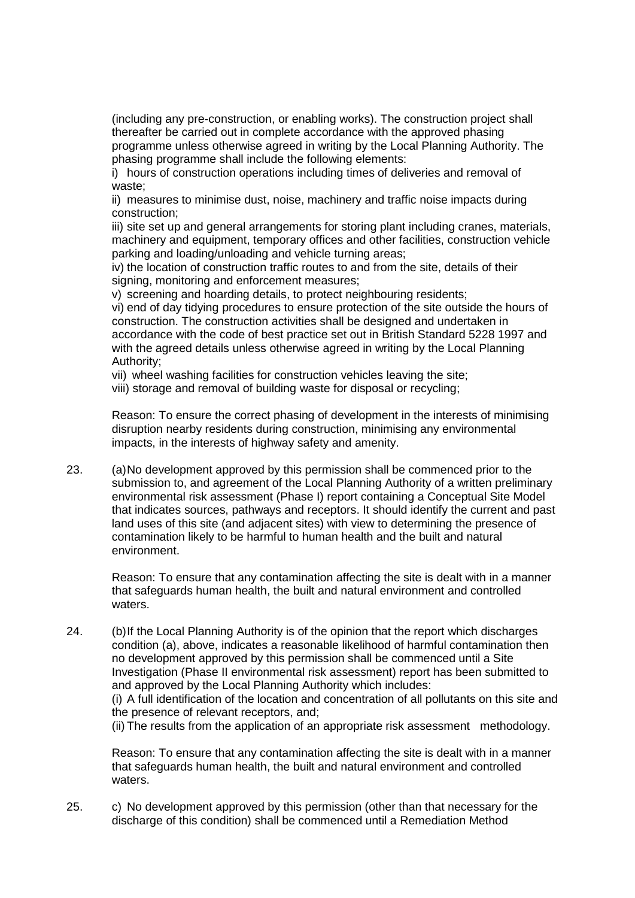(including any pre-construction, or enabling works). The construction project shall thereafter be carried out in complete accordance with the approved phasing programme unless otherwise agreed in writing by the Local Planning Authority. The phasing programme shall include the following elements:

i) hours of construction operations including times of deliveries and removal of waste:

ii) measures to minimise dust, noise, machinery and traffic noise impacts during construction;

iii) site set up and general arrangements for storing plant including cranes, materials, machinery and equipment, temporary offices and other facilities, construction vehicle parking and loading/unloading and vehicle turning areas;

iv) the location of construction traffic routes to and from the site, details of their signing, monitoring and enforcement measures;

v) screening and hoarding details, to protect neighbouring residents;

vi) end of day tidying procedures to ensure protection of the site outside the hours of construction. The construction activities shall be designed and undertaken in accordance with the code of best practice set out in British Standard 5228 1997 and with the agreed details unless otherwise agreed in writing by the Local Planning Authority;

vii) wheel washing facilities for construction vehicles leaving the site;

viii) storage and removal of building waste for disposal or recycling;

Reason: To ensure the correct phasing of development in the interests of minimising disruption nearby residents during construction, minimising any environmental impacts, in the interests of highway safety and amenity.

23. (a)No development approved by this permission shall be commenced prior to the submission to, and agreement of the Local Planning Authority of a written preliminary environmental risk assessment (Phase I) report containing a Conceptual Site Model that indicates sources, pathways and receptors. It should identify the current and past land uses of this site (and adjacent sites) with view to determining the presence of contamination likely to be harmful to human health and the built and natural environment.

Reason: To ensure that any contamination affecting the site is dealt with in a manner that safeguards human health, the built and natural environment and controlled waters.

24. (b)If the Local Planning Authority is of the opinion that the report which discharges condition (a), above, indicates a reasonable likelihood of harmful contamination then no development approved by this permission shall be commenced until a Site Investigation (Phase II environmental risk assessment) report has been submitted to and approved by the Local Planning Authority which includes: (i) A full identification of the location and concentration of all pollutants on this site and

the presence of relevant receptors, and; (ii) The results from the application of an appropriate risk assessment methodology.

Reason: To ensure that any contamination affecting the site is dealt with in a manner that safeguards human health, the built and natural environment and controlled waters.

25. c) No development approved by this permission (other than that necessary for the discharge of this condition) shall be commenced until a Remediation Method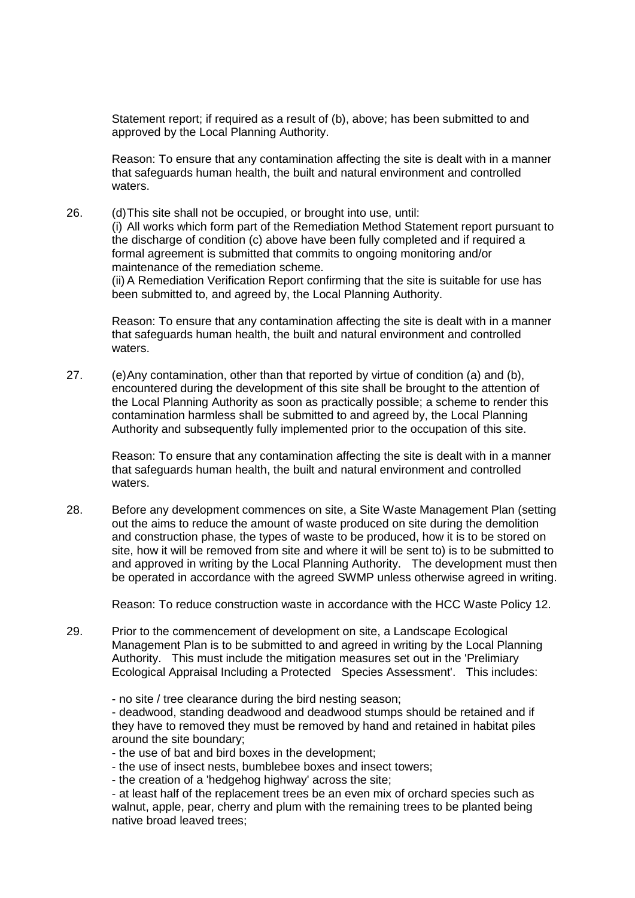Statement report; if required as a result of (b), above; has been submitted to and approved by the Local Planning Authority.

Reason: To ensure that any contamination affecting the site is dealt with in a manner that safeguards human health, the built and natural environment and controlled waters.

26. (d)This site shall not be occupied, or brought into use, until: (i) All works which form part of the Remediation Method Statement report pursuant to the discharge of condition (c) above have been fully completed and if required a formal agreement is submitted that commits to ongoing monitoring and/or maintenance of the remediation scheme.

(ii) A Remediation Verification Report confirming that the site is suitable for use has been submitted to, and agreed by, the Local Planning Authority.

Reason: To ensure that any contamination affecting the site is dealt with in a manner that safeguards human health, the built and natural environment and controlled waters.

27. (e)Any contamination, other than that reported by virtue of condition (a) and (b), encountered during the development of this site shall be brought to the attention of the Local Planning Authority as soon as practically possible; a scheme to render this contamination harmless shall be submitted to and agreed by, the Local Planning Authority and subsequently fully implemented prior to the occupation of this site.

Reason: To ensure that any contamination affecting the site is dealt with in a manner that safeguards human health, the built and natural environment and controlled waters.

28. Before any development commences on site, a Site Waste Management Plan (setting out the aims to reduce the amount of waste produced on site during the demolition and construction phase, the types of waste to be produced, how it is to be stored on site, how it will be removed from site and where it will be sent to) is to be submitted to and approved in writing by the Local Planning Authority. The development must then be operated in accordance with the agreed SWMP unless otherwise agreed in writing.

Reason: To reduce construction waste in accordance with the HCC Waste Policy 12.

- 29. Prior to the commencement of development on site, a Landscape Ecological Management Plan is to be submitted to and agreed in writing by the Local Planning Authority. This must include the mitigation measures set out in the 'Prelimiary Ecological Appraisal Including a Protected Species Assessment'. This includes:
	- no site / tree clearance during the bird nesting season;

- deadwood, standing deadwood and deadwood stumps should be retained and if they have to removed they must be removed by hand and retained in habitat piles around the site boundary;

- the use of bat and bird boxes in the development;
- the use of insect nests, bumblebee boxes and insect towers;
- the creation of a 'hedgehog highway' across the site;

- at least half of the replacement trees be an even mix of orchard species such as walnut, apple, pear, cherry and plum with the remaining trees to be planted being native broad leaved trees;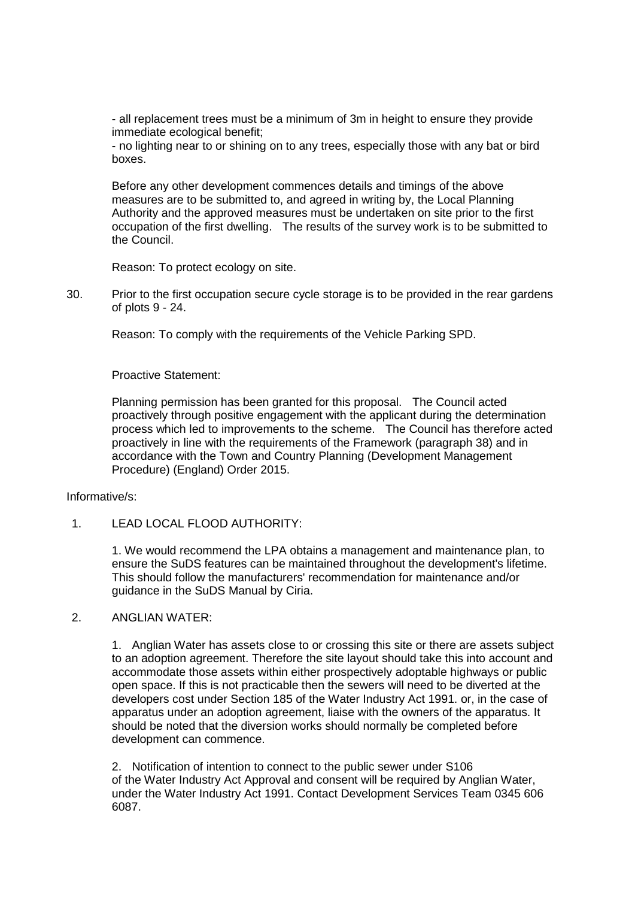- all replacement trees must be a minimum of 3m in height to ensure they provide immediate ecological benefit;

- no lighting near to or shining on to any trees, especially those with any bat or bird boxes.

Before any other development commences details and timings of the above measures are to be submitted to, and agreed in writing by, the Local Planning Authority and the approved measures must be undertaken on site prior to the first occupation of the first dwelling. The results of the survey work is to be submitted to the Council.

Reason: To protect ecology on site.

30. Prior to the first occupation secure cycle storage is to be provided in the rear gardens of plots 9 - 24.

Reason: To comply with the requirements of the Vehicle Parking SPD.

Proactive Statement:

Planning permission has been granted for this proposal. The Council acted proactively through positive engagement with the applicant during the determination process which led to improvements to the scheme. The Council has therefore acted proactively in line with the requirements of the Framework (paragraph 38) and in accordance with the Town and Country Planning (Development Management Procedure) (England) Order 2015.

#### Informative/s:

1. LEAD LOCAL FLOOD AUTHORITY:

1. We would recommend the LPA obtains a management and maintenance plan, to ensure the SuDS features can be maintained throughout the development's lifetime. This should follow the manufacturers' recommendation for maintenance and/or guidance in the SuDS Manual by Ciria.

## 2. ANGLIAN WATER:

1. Anglian Water has assets close to or crossing this site or there are assets subject to an adoption agreement. Therefore the site layout should take this into account and accommodate those assets within either prospectively adoptable highways or public open space. If this is not practicable then the sewers will need to be diverted at the developers cost under Section 185 of the Water Industry Act 1991. or, in the case of apparatus under an adoption agreement, liaise with the owners of the apparatus. It should be noted that the diversion works should normally be completed before development can commence.

2. Notification of intention to connect to the public sewer under S106 of the Water Industry Act Approval and consent will be required by Anglian Water, under the Water Industry Act 1991. Contact Development Services Team 0345 606 6087.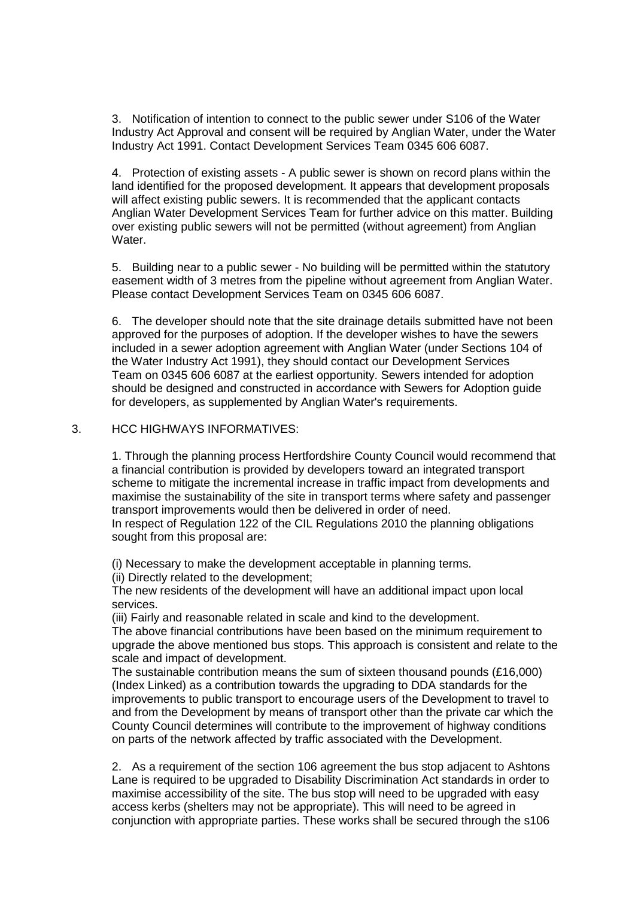3. Notification of intention to connect to the public sewer under S106 of the Water Industry Act Approval and consent will be required by Anglian Water, under the Water Industry Act 1991. Contact Development Services Team 0345 606 6087.

4. Protection of existing assets - A public sewer is shown on record plans within the land identified for the proposed development. It appears that development proposals will affect existing public sewers. It is recommended that the applicant contacts Anglian Water Development Services Team for further advice on this matter. Building over existing public sewers will not be permitted (without agreement) from Anglian Water.

5. Building near to a public sewer - No building will be permitted within the statutory easement width of 3 metres from the pipeline without agreement from Anglian Water. Please contact Development Services Team on 0345 606 6087.

6. The developer should note that the site drainage details submitted have not been approved for the purposes of adoption. If the developer wishes to have the sewers included in a sewer adoption agreement with Anglian Water (under Sections 104 of the Water Industry Act 1991), they should contact our Development Services Team on 0345 606 6087 at the earliest opportunity. Sewers intended for adoption should be designed and constructed in accordance with Sewers for Adoption guide for developers, as supplemented by Anglian Water's requirements.

### 3. HCC HIGHWAYS INFORMATIVES:

1. Through the planning process Hertfordshire County Council would recommend that a financial contribution is provided by developers toward an integrated transport scheme to mitigate the incremental increase in traffic impact from developments and maximise the sustainability of the site in transport terms where safety and passenger transport improvements would then be delivered in order of need. In respect of Regulation 122 of the CIL Regulations 2010 the planning obligations sought from this proposal are:

(i) Necessary to make the development acceptable in planning terms.

(ii) Directly related to the development;

The new residents of the development will have an additional impact upon local services.

(iii) Fairly and reasonable related in scale and kind to the development.

The above financial contributions have been based on the minimum requirement to upgrade the above mentioned bus stops. This approach is consistent and relate to the scale and impact of development.

The sustainable contribution means the sum of sixteen thousand pounds (£16,000) (Index Linked) as a contribution towards the upgrading to DDA standards for the improvements to public transport to encourage users of the Development to travel to and from the Development by means of transport other than the private car which the County Council determines will contribute to the improvement of highway conditions on parts of the network affected by traffic associated with the Development.

2. As a requirement of the section 106 agreement the bus stop adjacent to Ashtons Lane is required to be upgraded to Disability Discrimination Act standards in order to maximise accessibility of the site. The bus stop will need to be upgraded with easy access kerbs (shelters may not be appropriate). This will need to be agreed in conjunction with appropriate parties. These works shall be secured through the s106